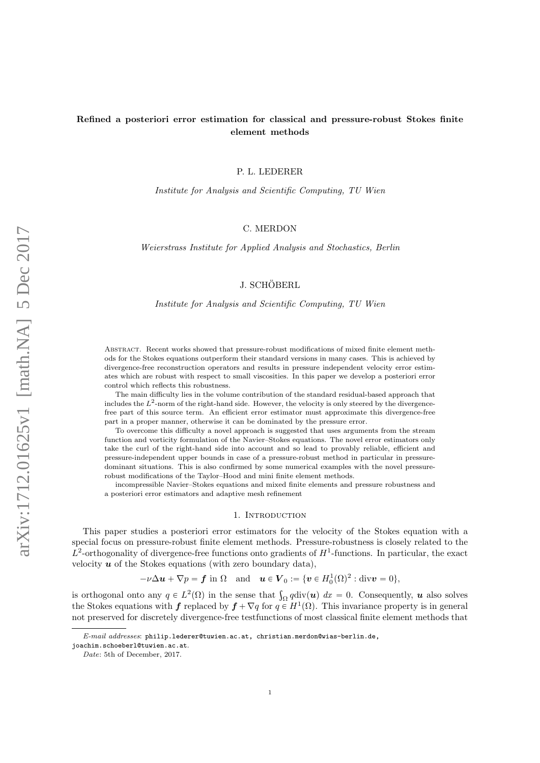# Refined a posteriori error estimation for classical and pressure-robust Stokes finite element methods

P. L. LEDERER

Institute for Analysis and Scientific Computing, TU Wien

### C. MERDON

Weierstrass Institute for Applied Analysis and Stochastics, Berlin

## J. SCHÖBERL

#### Institute for Analysis and Scientific Computing, TU Wien

Abstract. Recent works showed that pressure-robust modifications of mixed finite element methods for the Stokes equations outperform their standard versions in many cases. This is achieved by divergence-free reconstruction operators and results in pressure independent velocity error estimates which are robust with respect to small viscosities. In this paper we develop a posteriori error control which reflects this robustness.

The main difficulty lies in the volume contribution of the standard residual-based approach that includes the  $L^2$ -norm of the right-hand side. However, the velocity is only steered by the divergencefree part of this source term. An efficient error estimator must approximate this divergence-free part in a proper manner, otherwise it can be dominated by the pressure error.

To overcome this difficulty a novel approach is suggested that uses arguments from the stream function and vorticity formulation of the Navier–Stokes equations. The novel error estimators only take the curl of the right-hand side into account and so lead to provably reliable, efficient and pressure-independent upper bounds in case of a pressure-robust method in particular in pressuredominant situations. This is also confirmed by some numerical examples with the novel pressurerobust modifications of the Taylor–Hood and mini finite element methods.

incompressible Navier–Stokes equations and mixed finite elements and pressure robustness and a posteriori error estimators and adaptive mesh refinement

#### 1. Introduction

This paper studies a posteriori error estimators for the velocity of the Stokes equation with a special focus on pressure-robust finite element methods. Pressure-robustness is closely related to the  $L^2$ -orthogonality of divergence-free functions onto gradients of  $H^1$ -functions. In particular, the exact velocity  $u$  of the Stokes equations (with zero boundary data),

 $-\nu \Delta u + \nabla p = \boldsymbol{f}$  in  $\Omega$  and  $u \in \boldsymbol{V}_0 := \{ \boldsymbol{v} \in H_0^1(\Omega)^2 : \text{div} \boldsymbol{v} = 0 \},$ 

is orthogonal onto any  $q \in L^2(\Omega)$  in the sense that  $\int_{\Omega} q \text{div}(\boldsymbol{u}) dx = 0$ . Consequently, **u** also solves the Stokes equations with f replaced by  $f + \nabla q$  for  $q \in H^1(\Omega)$ . This invariance property is in general not preserved for discretely divergence-free testfunctions of most classical finite element methods that

E-mail addresses: philip.lederer@tuwien.ac.at, christian.merdon@wias-berlin.de,

joachim.schoeberl@tuwien.ac.at.

Date: 5th of December, 2017.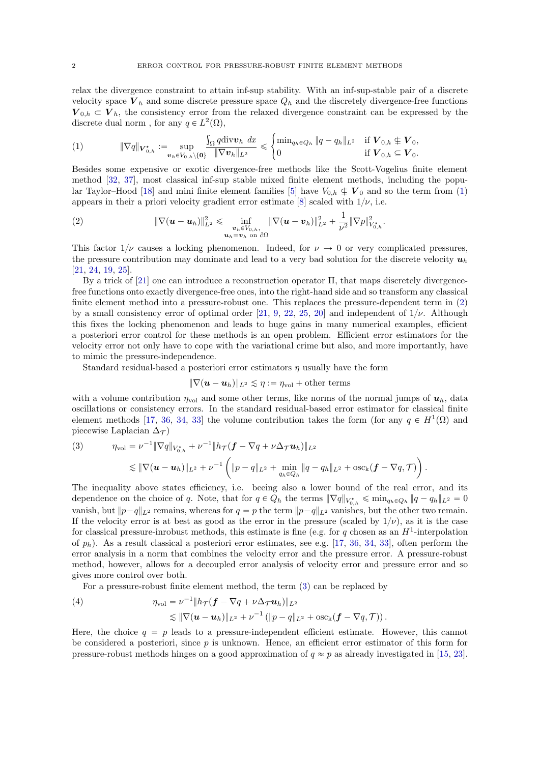relax the divergence constraint to attain inf-sup stability. With an inf-sup-stable pair of a discrete velocity space  $V_h$  and some discrete pressure space  $Q_h$  and the discretely divergence-free functions  $V_{0,h} \subset V_h$ , the consistency error from the relaxed divergence constraint can be expressed by the discrete dual norm, for any  $q \in L^2(\Omega)$ , #

<span id="page-1-0"></span>
$$
(1) \t\t \|\nabla q\|_{\mathbf{V}_{0,h}^{\star}} := \sup_{\mathbf{v}_h \in V_{0,h}\setminus\{\mathbf{0}\}} \frac{\int_{\Omega} q \operatorname{div} \mathbf{v}_h dx}{\|\nabla \mathbf{v}_h\|_{L^2}} \leq \begin{cases} \min_{q_h \in Q_h} \|q - q_h\|_{L^2} & \text{if } \mathbf{V}_{0,h} \notin \mathbf{V}_0, \\ 0 & \text{if } \mathbf{V}_{0,h} \subseteq \mathbf{V}_0. \end{cases}
$$

Besides some expensive or exotic divergence-free methods like the Scott-Vogelius finite element method [\[32,](#page-24-0) [37\]](#page-24-1), most classical inf-sup stable mixed finite element methods, including the popu-lar Taylor–Hood [\[18\]](#page-23-0) and mini finite element families [\[5\]](#page-23-1) have  $V_{0,h} \nsubseteq V_0$  and so the term from [\(1\)](#page-1-0) appears in their a priori velocity gradient error estimate [\[8\]](#page-23-2) scaled with  $1/\nu$ , i.e.

<span id="page-1-1"></span>(2) 
$$
\|\nabla(\bm{u}-\bm{u}_h)\|_{L^2}^2 \leq \inf_{\substack{\bm{v}_h\in V_{0,h},\\ \bm{u}_h=\bm{v}_h \text{ on } \partial\Omega}} \|\nabla(\bm{u}-\bm{v}_h)\|_{L^2}^2 + \frac{1}{\nu^2} \|\nabla p\|_{V_{0,h}^{\star}}^2.
$$

This factor  $1/\nu$  causes a locking phenomenon. Indeed, for  $\nu \to 0$  or very complicated pressures, the pressure contribution may dominate and lead to a very bad solution for the discrete velocity  $u_h$ [\[21,](#page-23-3) [24,](#page-23-4) [19,](#page-23-5) [25\]](#page-23-6).

By a trick of [\[21\]](#page-23-3) one can introduce a reconstruction operator Π, that maps discretely divergencefree functions onto exactly divergence-free ones, into the right-hand side and so transform any classical finite element method into a pressure-robust one. This replaces the pressure-dependent term in [\(2\)](#page-1-1) by a small consistency error of optimal order [\[21,](#page-23-3) [9,](#page-23-7) [22,](#page-23-8) [25,](#page-23-6) [20\]](#page-23-9) and independent of  $1/\nu$ . Although this fixes the locking phenomenon and leads to huge gains in many numerical examples, efficient a posteriori error control for these methods is an open problem. Efficient error estimators for the velocity error not only have to cope with the variational crime but also, and more importantly, have to mimic the pressure-independence.

Standard residual-based a posteriori error estimators  $\eta$  usually have the form

$$
\|\nabla (\boldsymbol{u}-\boldsymbol{u}_h)\|_{L^2}\lesssim \eta:=\eta_{\mathrm{vol}}+\text{other terms}
$$

with a volume contribution  $\eta_{\text{vol}}$  and some other terms, like norms of the normal jumps of  $u_h$ , data oscillations or consistency errors. In the standard residual-based error estimator for classical finite element methods [\[17,](#page-23-10) [36,](#page-24-2) [34,](#page-24-3) [33\]](#page-24-4) the volume contribution takes the form (for any  $q \in H^1(\Omega)$  and piecewise Laplacian  $\Delta_{\mathcal{T}}$ )

<span id="page-1-2"></span>(3) 
$$
\eta_{\text{vol}} = \nu^{-1} \|\nabla q\|_{V_{0,h}^*} + \nu^{-1} \|h_{\mathcal{T}} (\mathbf{f} - \nabla q + \nu \Delta_{\mathcal{T}} \mathbf{u}_h)\|_{L^2} \leq \|\nabla (\mathbf{u} - \mathbf{u}_h)\|_{L^2} + \nu^{-1} \left( \|p - q\|_{L^2} + \min_{q_h \in Q_h} \|q - q_h\|_{L^2} + \text{osc}_{k} (\mathbf{f} - \nabla q, \mathcal{T}) \right).
$$

The inequality above states efficiency, i.e. beeing also a lower bound of the real error, and its dependence on the choice of q. Note, that for  $q \in Q_h$  the terms  $\|\nabla q\|_{V_{0,h}^*} \leqslant \min_{q_h \in Q_h} \|q - q_h\|_{L^2} = 0$ vanish, but  $||p-q||_{L^2}$  remains, whereas for  $q = p$  the term  $||p-q||_{L^2}$  vanishes, but the other two remain. If the velocity error is at best as good as the error in the pressure (scaled by  $1/\nu$ ), as it is the case for classical pressure-inrobust methods, this estimate is fine (e.g. for q chosen as an  $H^1$ -interpolation of  $p_h$ ). As a result classical a posteriori error estimates, see e.g. [\[17,](#page-23-10) [36,](#page-24-2) [34,](#page-24-3) [33\]](#page-24-4), often perform the error analysis in a norm that combines the velocity error and the pressure error. A pressure-robust method, however, allows for a decoupled error analysis of velocity error and pressure error and so gives more control over both.

For a pressure-robust finite element method, the term [\(3\)](#page-1-2) can be replaced by

<span id="page-1-3"></span>(4) 
$$
\eta_{\text{vol}} = \nu^{-1} \| h_{\mathcal{T}} (\bm{f} - \nabla q + \nu \Delta_{\mathcal{T}} \bm{u}_h) \|_{L^2} \\ \lesssim \| \nabla (\bm{u} - \bm{u}_h) \|_{L^2} + \nu^{-1} ( \| p - q \|_{L^2} + \text{osc}_{\mathbf{k}} (\bm{f} - \nabla q, \mathcal{T})).
$$

Here, the choice  $q = p$  leads to a pressure-independent efficient estimate. However, this cannot be considered a posteriori, since  $p$  is unknown. Hence, an efficient error estimator of this form for pressure-robust methods hinges on a good approximation of  $q \approx p$  as already investigated in [\[15,](#page-23-11) [23\]](#page-23-12).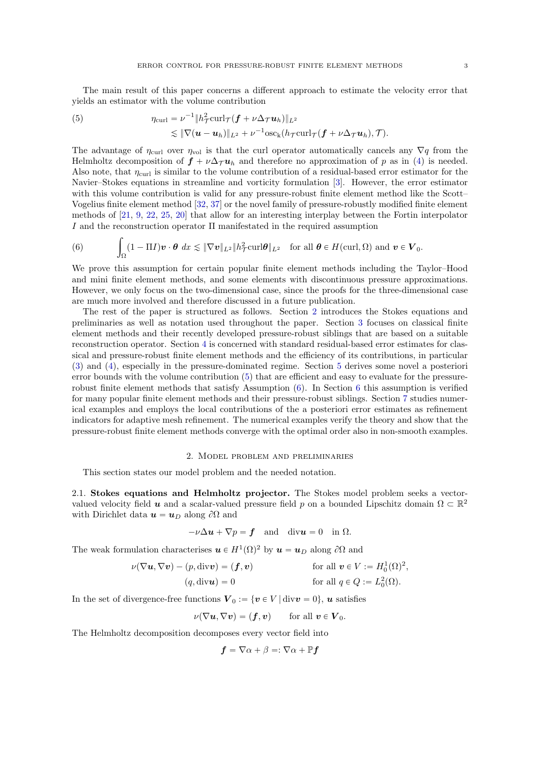The main result of this paper concerns a different approach to estimate the velocity error that yields an estimator with the volume contribution

<span id="page-2-1"></span>(5) 
$$
\eta_{\text{curl}} = \nu^{-1} \|h_{\mathcal{T}}^2 \text{curl}_{\mathcal{T}} (\boldsymbol{f} + \nu \Delta_{\mathcal{T}} \boldsymbol{u}_h)\|_{L^2} \\ \lesssim \|\nabla (\boldsymbol{u} - \boldsymbol{u}_h)\|_{L^2} + \nu^{-1} \text{osc}_{k} (h_{\mathcal{T}} \text{curl}_{\mathcal{T}} (\boldsymbol{f} + \nu \Delta_{\mathcal{T}} \boldsymbol{u}_h), \mathcal{T}).
$$

The advantage of  $\eta_{\text{curl}}$  over  $\eta_{\text{vol}}$  is that the curl operator automatically cancels any  $\nabla q$  from the Helmholtz decomposition of  $f + \nu \Delta \tau u_h$  and therefore no approximation of p as in [\(4\)](#page-1-3) is needed. Also note, that  $\eta_{\text{curl}}$  is similar to the volume contribution of a residual-based error estimator for the Navier–Stokes equations in streamline and vorticity formulation [\[3\]](#page-23-13). However, the error estimator with this volume contribution is valid for any pressure-robust finite element method like the Scott– Vogelius finite element method [\[32,](#page-24-0) [37\]](#page-24-1) or the novel family of pressure-robustly modified finite element methods of [\[21,](#page-23-3) [9,](#page-23-7) [22,](#page-23-8) [25,](#page-23-6) [20\]](#page-23-9) that allow for an interesting interplay between the Fortin interpolator I and the reconstruction operator Π manifestated in the required assumption

<span id="page-2-2"></span>(6) 
$$
\int_{\Omega} (1 - \Pi I) \mathbf{v} \cdot \boldsymbol{\theta} \, dx \leq \|\nabla \mathbf{v}\|_{L^2} \|h^2_T \operatorname{curl} \boldsymbol{\theta}\|_{L^2} \quad \text{for all } \boldsymbol{\theta} \in H(\operatorname{curl}, \Omega) \text{ and } \mathbf{v} \in \mathbf{V}_0.
$$

We prove this assumption for certain popular finite element methods including the Taylor–Hood and mini finite element methods, and some elements with discontinuous pressure approximations. However, we only focus on the two-dimensional case, since the proofs for the three-dimensional case are much more involved and therefore discussed in a future publication.

The rest of the paper is structured as follows. Section [2](#page-2-0) introduces the Stokes equations and preliminaries as well as notation used throughout the paper. Section [3](#page-3-0) focuses on classical finite element methods and their recently developed pressure-robust siblings that are based on a suitable reconstruction operator. Section [4](#page-6-0) is concerned with standard residual-based error estimates for classical and pressure-robust finite element methods and the efficiency of its contributions, in particular [\(3\)](#page-1-2) and [\(4\)](#page-1-3), especially in the pressure-dominated regime. Section [5](#page-9-0) derives some novel a posteriori error bounds with the volume contribution [\(5\)](#page-2-1) that are efficient and easy to evaluate for the pressurerobust finite element methods that satisfy Assumption [\(6\)](#page-2-2). In Section [6](#page-13-0) this assumption is verified for many popular finite element methods and their pressure-robust siblings. Section [7](#page-18-0) studies numerical examples and employs the local contributions of the a posteriori error estimates as refinement indicators for adaptive mesh refinement. The numerical examples verify the theory and show that the pressure-robust finite element methods converge with the optimal order also in non-smooth examples.

## 2. Model problem and preliminaries

<span id="page-2-0"></span>This section states our model problem and the needed notation.

2.1. Stokes equations and Helmholtz projector. The Stokes model problem seeks a vectorvalued velocity field **u** and a scalar-valued pressure field p on a bounded Lipschitz domain  $\Omega \subset \mathbb{R}^2$ with Dirichlet data  $u = u_D$  along  $\partial\Omega$  and

$$
-\nu\Delta u + \nabla p = \mathbf{f} \quad \text{and} \quad \text{div}\mathbf{u} = 0 \quad \text{in } \Omega.
$$

The weak formulation characterises  $u \in H^1(\Omega)^2$  by  $u = u_D$  along  $\partial\Omega$  and

$$
\nu(\nabla \mathbf{u}, \nabla \mathbf{v}) - (p, \text{div}\mathbf{v}) = (\mathbf{f}, \mathbf{v}) \quad \text{for all } \mathbf{v} \in V := H_0^1(\Omega)^2,
$$
  
\n
$$
(q, \text{div}\mathbf{u}) = 0 \quad \text{for all } q \in Q := L_0^2(\Omega).
$$

In the set of divergence-free functions  $V_0 := \{v \in V | \text{div}v = 0\}, u$  satisfies

$$
\nu(\nabla \boldsymbol{u}, \nabla \boldsymbol{v}) = (\boldsymbol{f}, \boldsymbol{v}) \quad \text{for all } \boldsymbol{v} \in \boldsymbol{V}_0.
$$

The Helmholtz decomposition decomposes every vector field into

$$
\boldsymbol{f} = \nabla \alpha + \beta =: \nabla \alpha + \mathbb{P} \boldsymbol{f}
$$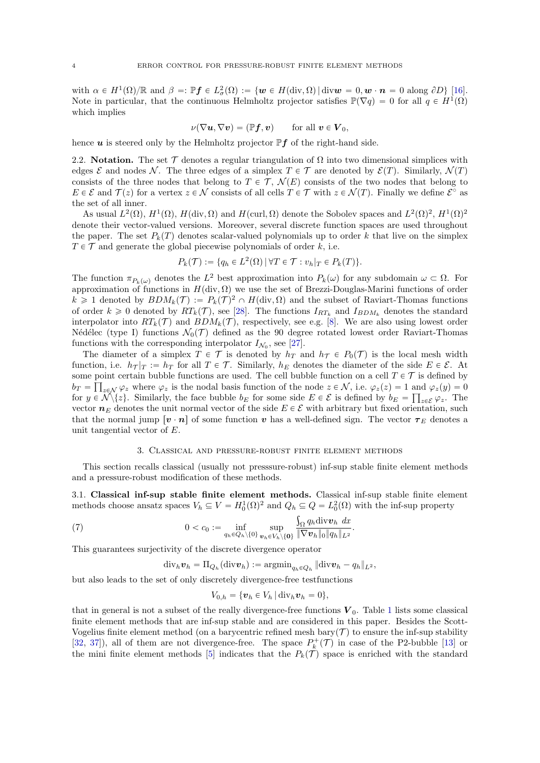with  $\alpha \in H^1(\Omega)/\mathbb{R}$  and  $\beta =: \mathbb{P}$ *f*  $\in L^2_{\sigma}(\Omega) := \{w \in H(\text{div}, \Omega) | \text{div}w = 0, w \cdot \mathbf{n} = 0 \text{ along } \partial D\}$  [\[16\]](#page-23-14). Note in particular, that the continuous Helmholtz projector satisfies  $\mathbb{P}(\nabla q) = 0$  for all  $q \in H^1(\Omega)$ which implies

$$
\nu(\nabla \boldsymbol{u}, \nabla \boldsymbol{v}) = (\mathbb{P} \boldsymbol{f}, \boldsymbol{v}) \qquad \text{for all } \boldsymbol{v} \in \boldsymbol{V}_0,
$$

hence  $\boldsymbol{u}$  is steered only by the Helmholtz projector  $\mathbb{P} \boldsymbol{f}$  of the right-hand side.

2.2. Notation. The set  $\mathcal T$  denotes a regular triangulation of  $\Omega$  into two dimensional simplices with edges  $\mathcal E$  and nodes N. The three edges of a simplex  $T \in \mathcal T$  are denoted by  $\mathcal E(T)$ . Similarly,  $\mathcal N(T)$ consists of the three nodes that belong to  $T \in \mathcal{T}$ ,  $\mathcal{N}(E)$  consists of the two nodes that belong to  $E \in \mathcal{E}$  and  $\mathcal{T}(z)$  for a vertex  $z \in \mathcal{N}$  consists of all cells  $T \in \mathcal{T}$  with  $z \in \mathcal{N}(T)$ . Finally we define  $\mathcal{E}^{\circ}$  as the set of all inner.

As usual  $L^2(\Omega)$ ,  $H^1(\Omega)$ ,  $H(\text{div}, \Omega)$  and  $H(\text{curl}, \Omega)$  denote the Sobolev spaces and  $L^2(\Omega)^2$ ,  $H^1(\Omega)^2$ denote their vector-valued versions. Moreover, several discrete function spaces are used throughout the paper. The set  $P_k(T)$  denotes scalar-valued polynomials up to order k that live on the simplex  $T \in \mathcal{T}$  and generate the global piecewise polynomials of order k, i.e.

$$
P_k(\mathcal{T}) := \{ q_h \in L^2(\Omega) \, | \, \forall T \in \mathcal{T} : v_h|_T \in P_k(T) \}.
$$

The function  $\pi_{P_k(\omega)}$  denotes the  $L^2$  best approximation into  $P_k(\omega)$  for any subdomain  $\omega \subset \Omega$ . For approximation of functions in  $H(\text{div}, \Omega)$  we use the set of Brezzi-Douglas-Marini functions of order  $k \geq 1$  denoted by  $BDM_k(\mathcal{T}) := P_k(\mathcal{T})^2 \cap H(\text{div}, \Omega)$  and the subset of Raviart-Thomas functions of order  $k \geq 0$  denoted by  $RT_k(\mathcal{T})$ , see [\[28\]](#page-24-5). The functions  $I_{RT_k}$  and  $I_{BDM_k}$  denotes the standard interpolator into  $RT_k(\mathcal{T})$  and  $BDM_k(\mathcal{T})$ , respectively, see e.g. [\[8\]](#page-23-2). We are also using lowest order Nédélec (type I) functions  $\mathcal{N}_0(\mathcal{T})$  defined as the 90 degree rotated lowest order Raviart-Thomas functions with the corresponding interpolator  $I_{\mathcal{N}_0}$ , see [\[27\]](#page-24-6).

The diameter of a simplex  $T \in \mathcal{T}$  is denoted by  $h_T$  and  $h_T \in P_0(\mathcal{T})$  is the local mesh width function, i.e.  $h_{\mathcal{T}}|_T := h_T$  for all  $T \in \mathcal{T}$ . Similarly,  $h_E$  denotes the diameter of the side  $E \in \mathcal{E}$ . At some point certain bubble functions are used. The cell bubble function on a cell  $T \in \mathcal{T}$  is defined by  $b_T = \prod_{z \in \mathcal{N}} \varphi_z$  where  $\varphi_z$  is the nodal basis function of the node  $z \in \mathcal{N}$ , i.e.  $\varphi_z(z) = 1$  and  $\varphi_z(y) = 0$ for  $y \in \mathcal{N}\backslash\{z\}$ . Similarly, the face bubble  $b_E$  for some side  $E \in \mathcal{E}$  is defined by  $b_E = \prod_{z \in \mathcal{E}} \varphi_z$ . The vector  $n_E$  denotes the unit normal vector of the side  $E \in \mathcal{E}$  with arbitrary but fixed orientation, such that the normal jump  $\left[v \cdot n\right]$  of some function v has a well-defined sign. The vector  $\tau_E$  denotes a unit tangential vector of E.

## 3. Classical and pressure-robust finite element methods

<span id="page-3-0"></span>This section recalls classical (usually not presssure-robust) inf-sup stable finite element methods and a pressure-robust modification of these methods.

3.1. Classical inf-sup stable finite element methods. Classical inf-sup stable finite element methods choose ansatz spaces  $V_h \subseteq V = H_0^1(\Omega)^2$  and  $Q_h \subseteq Q = L_0^2(\Omega)$  with the inf-sup property

(7) 
$$
0 < c_0 := \inf_{q_h \in Q_h \setminus \{0\}} \sup_{\boldsymbol{v}_h \in V_h \setminus \{\mathbf{0}\}} \frac{\int_{\Omega} q_h \operatorname{div} \boldsymbol{v}_h dx}{\|\nabla \boldsymbol{v}_h\|_0 \|q_h\|_{L^2}}.
$$

This guarantees surjectivity of the discrete divergence operator

$$
\mathrm{div}_h \boldsymbol{v}_h = \Pi_{Q_h}(\mathrm{div} \boldsymbol{v}_h) := \mathrm{argmin}_{q_h \in Q_h} ||\mathrm{div} \boldsymbol{v}_h - q_h||_{L^2},
$$

but also leads to the set of only discretely divergence-free testfunctions

$$
V_{0,h} = \{\boldsymbol{v}_h \in V_h | \operatorname{div}_h \boldsymbol{v}_h = 0\},\
$$

that in general is not a subset of the really divergence-free functions  $V_0$ . Table [1](#page-4-0) lists some classical finite element methods that are inf-sup stable and are considered in this paper. Besides the Scott-Vogelius finite element method (on a barycentric refined mesh bary $(\mathcal{T})$  to ensure the inf-sup stability [\[32,](#page-24-0) [37\]](#page-24-1)), all of them are not divergence-free. The space  $P_k^+(\mathcal{T})$  in case of the P2-bubble [\[13\]](#page-23-15) or the mini finite element methods [\[5\]](#page-23-1) indicates that the  $P_k(\mathcal{T})$  space is enriched with the standard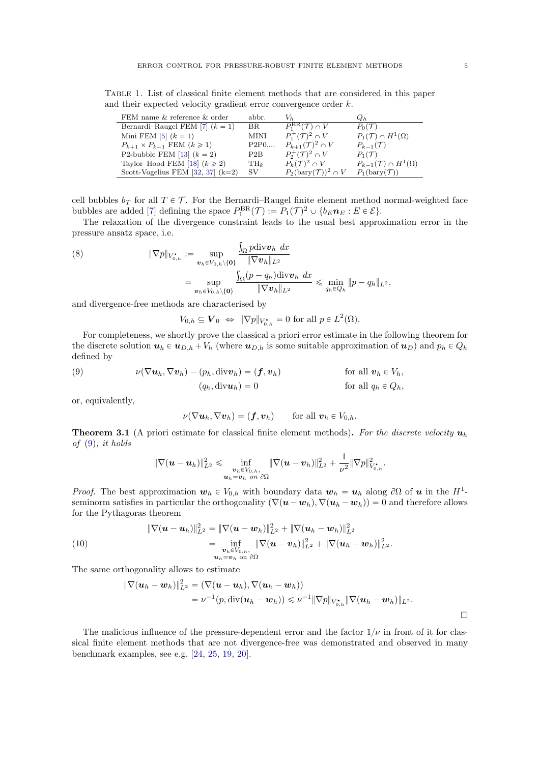<span id="page-4-0"></span>Table 1. List of classical finite element methods that are considered in this paper and their expected velocity gradient error convergence order k.

| FEM name & reference & order             | abbr.  | $V_h$                                    | $Q_h$                                   |
|------------------------------------------|--------|------------------------------------------|-----------------------------------------|
| Bernardi-Raugel FEM [7] $(k = 1)$        | BR.    | $P_1^{\text{BR}}(\mathcal{T}) \cap V$    | $P_0(\mathcal{T})$                      |
| Mini FEM $[5]$ $(k = 1)$                 | MINI   | $P_1^+(\mathcal{T})^2 \cap V$            | $P_1(\mathcal{T}) \cap H^1(\Omega)$     |
| $P_{k+1} \times P_{k-1}$ FEM $(k \ge 1)$ | P2P0   | $P_{k+1}(\mathcal{T})^2 \cap V$          | $P_{k-1}(\mathcal{T})$                  |
| P2-bubble FEM [13] $(k = 2)$             | P2B    | $P_2^+(\mathcal{T})^2 \cap V$            | $P_1(\mathcal{T})$                      |
| Taylor-Hood FEM [18] $(k \ge 2)$         | $TH_k$ | $P_k(\mathcal{T})^2 \cap V$              | $P_{k-1}(\mathcal{T}) \cap H^1(\Omega)$ |
| Scott-Vogelius FEM $[32, 37]$ (k=2)      | SV.    | $P_2(\text{bary}(\mathcal{T}))^2 \cap V$ | $P_1(\text{bary}(\mathcal{T}))$         |

cell bubbles  $b_T$  for all  $T \in \mathcal{T}$ . For the Bernardi–Raugel finite element method normal-weighted face bubbles are added [\[7\]](#page-23-16) defining the space  $P_1^{\text{BR}}(\mathcal{T}) := P_1(\mathcal{T})^2 \cup \{b_E n_E : E \in \mathcal{E}\}.$ 

The relaxation of the divergence constraint leads to the usual best approximation error in the pressure ansatz space, i.e.

<span id="page-4-4"></span>(8) 
$$
\|\nabla p\|_{V_{0,h}^*} := \sup_{\boldsymbol{v}_h \in V_{0,h}\setminus\{\mathbf{0}\}} \frac{\int_{\Omega} p \text{div} \boldsymbol{v}_h \, dx}{\|\nabla \boldsymbol{v}_h\|_{L^2}} \\ = \sup_{\boldsymbol{v}_h \in V_{0,h}\setminus\{\mathbf{0}\}} \frac{\int_{\Omega} (p - q_h) \text{div} \boldsymbol{v}_h \, dx}{\|\nabla \boldsymbol{v}_h\|_{L^2}} \leq \min_{q_h \in Q_h} \|p - q_h\|_{L^2},
$$

and divergence-free methods are characterised by

 $V_{0,h} \subseteq \mathbf{V}_0 \Leftrightarrow \|\nabla p\|_{V_{0,h}^{\star}} = 0$  for all  $p \in L^2(\Omega)$ .

For completeness, we shortly prove the classical a priori error estimate in the following theorem for the discrete solution  $u_h \in u_{D,h} + V_h$  (where  $u_{D,h}$  is some suitable approximation of  $u_D$ ) and  $p_h \in Q_h$ defined by

<span id="page-4-1"></span>(9) 
$$
\nu(\nabla \mathbf{u}_h, \nabla \mathbf{v}_h) - (p_h, \text{div}\mathbf{v}_h) = (\mathbf{f}, \mathbf{v}_h)
$$
 for all  $\mathbf{v}_h \in V_h$ ,  
\n
$$
(q_h, \text{div}\mathbf{u}_h) = 0
$$
 for all  $q_h \in Q_h$ ,

or, equivalently,

$$
\nu(\nabla \boldsymbol{u}_h, \nabla \boldsymbol{v}_h) = (\boldsymbol{f}, \boldsymbol{v}_h) \quad \text{for all } \boldsymbol{v}_h \in V_{0,h}.
$$

<span id="page-4-2"></span>**Theorem 3.1** (A priori estimate for classical finite element methods). For the discrete velocity  $u_h$ of  $(9)$ , it holds

$$
\|\nabla (\boldsymbol{u}-\boldsymbol{u}_h)\|_{L^2}^2 \leqslant \inf_{\substack{\boldsymbol{v}_h \in V_{0,h},\\ \boldsymbol{u}_h = \boldsymbol{v}_h \text{ on } \partial\Omega}} \|\nabla (\boldsymbol{u}-\boldsymbol{v}_h)\|_{L^2}^2 + \frac{1}{\nu^2}\|\nabla p\|_{V_{0,h}^\star}^2.
$$

*Proof.* The best approximation  $w_h \in V_{0,h}$  with boundary data  $w_h = u_h$  along  $\partial\Omega$  of u in the  $H^1$ seminorm satisfies in particular the orthogonality  $(\nabla (\mathbf{u} - \mathbf{w}_h), \nabla (\mathbf{u}_h - \mathbf{w}_h)) = 0$  and therefore allows for the Pythagoras theorem

<span id="page-4-3"></span>(10) 
$$
\|\nabla(\boldsymbol{u}-\boldsymbol{u}_h)\|_{L^2}^2 = \|\nabla(\boldsymbol{u}-\boldsymbol{w}_h)\|_{L^2}^2 + \|\nabla(\boldsymbol{u}_h-\boldsymbol{w}_h)\|_{L^2}^2 = \inf_{\substack{\boldsymbol{v}_h\in V_{0,h},\\ \boldsymbol{u}_h=\boldsymbol{v}_h\text{ on }\partial\Omega}} \|\nabla(\boldsymbol{u}-\boldsymbol{v}_h)\|_{L^2}^2 + \|\nabla(\boldsymbol{u}_h-\boldsymbol{w}_h)\|_{L^2}^2.
$$

The same orthogonality allows to estimate

$$
\begin{aligned} \|\nabla (\boldsymbol u_h - \boldsymbol w_h)\|_{L^2}^2 &= (\nabla (\boldsymbol u - \boldsymbol u_h), \nabla (\boldsymbol u_h - \boldsymbol w_h)) \\ &= \nu^{-1}(p, \text{div}(\boldsymbol u_h - \boldsymbol w_h)) \leqslant \nu^{-1} \|\nabla p\|_{V_{0,h}^\star} \|\nabla (\boldsymbol u_h - \boldsymbol w_h)\|_{L^2}. \end{aligned}
$$

The malicious influence of the pressure-dependent error and the factor  $1/\nu$  in front of it for classical finite element methods that are not divergence-free was demonstrated and observed in many benchmark examples, see e.g. [\[24,](#page-23-4) [25,](#page-23-6) [19,](#page-23-5) [20\]](#page-23-9).

 $\Box$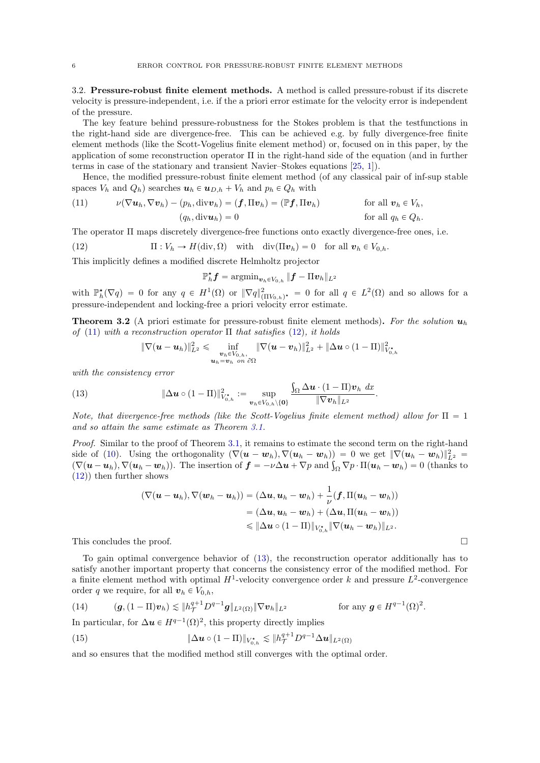3.2. Pressure-robust finite element methods. A method is called pressure-robust if its discrete velocity is pressure-independent, i.e. if the a priori error estimate for the velocity error is independent of the pressure.

The key feature behind pressure-robustness for the Stokes problem is that the testfunctions in the right-hand side are divergence-free. This can be achieved e.g. by fully divergence-free finite element methods (like the Scott-Vogelius finite element method) or, focused on in this paper, by the application of some reconstruction operator Π in the right-hand side of the equation (and in further terms in case of the stationary and transient Navier–Stokes equations [\[25,](#page-23-6) [1\]](#page-23-17)).

Hence, the modified pressure-robust finite element method (of any classical pair of inf-sup stable spaces  $V_h$  and  $Q_h$ ) searches  $u_h \in u_{D,h} + V_h$  and  $p_h \in Q_h$  with

<span id="page-5-0"></span>(11) 
$$
\nu(\nabla \mathbf{u}_h, \nabla \mathbf{v}_h) - (p_h, \text{div} \mathbf{v}_h) = (\mathbf{f}, \Pi \mathbf{v}_h) = (\mathbb{P} \mathbf{f}, \Pi \mathbf{v}_h)
$$
 for all  $\mathbf{v}_h \in V_h$ ,  
\n
$$
(q_h, \text{div} \mathbf{u}_h) = 0
$$
 for all  $q_h \in Q_h$ .

The operator Π maps discretely divergence-free functions onto exactly divergence-free ones, i.e.

<span id="page-5-1"></span>(12) 
$$
\Pi: V_h \to H(\text{div}, \Omega) \text{ with } \text{div}(\Pi v_h) = 0 \text{ for all } v_h \in V_{0,h}.
$$

This implicitly defines a modified discrete Helmholtz projector

$$
\mathbb{P}_h^{\star}\boldsymbol{f} = \mathop{\mathrm{argmin}}_{\boldsymbol{v}_h \in V_{0,h}} \|\boldsymbol{f} - \Pi \boldsymbol{v}_h\|_{L^2}
$$

with  $\mathbb{P}_h^{\star}(\nabla q) = 0$  for any  $q \in H^1(\Omega)$  or  $\|\nabla q\|_{(\Pi V_{0,h})^{\star}}^2 = 0$  for all  $q \in L^2(\Omega)$  and so allows for a pressure-independent and locking-free a priori velocity error estimate.

<span id="page-5-4"></span>**Theorem 3.2** (A priori estimate for pressure-robust finite element methods). For the solution  $u_h$ of [\(11\)](#page-5-0) with a reconstruction operator  $\Pi$  that satisfies [\(12\)](#page-5-1), it holds

$$
\|\nabla (\boldsymbol{u}-\boldsymbol{u}_h)\|_{L^2}^2 \leqslant \inf_{\substack{\boldsymbol{v}_h \in V_{0,h},\\ \boldsymbol{u}_h = \boldsymbol{v}_h \text{ on } \partial\Omega}} \|\nabla (\boldsymbol{u}-\boldsymbol{v}_h)\|_{L^2}^2 + \|\Delta \boldsymbol{u} \circ (1-\Pi)\|_{V_{0,h}^{\star}}^2
$$

with the consistency error

<span id="page-5-2"></span>(13) 
$$
\|\Delta \boldsymbol{u} \circ (1-\Pi)\|_{V_{0,h}^*}^2 := \sup_{\boldsymbol{v}_h \in V_{0,h}\setminus \{\mathbf{0}\}} \frac{\int_{\Omega} \Delta \boldsymbol{u} \cdot (1-\Pi) \boldsymbol{v}_h \, dx}{\|\nabla \boldsymbol{v}_h\|_{L^2}}.
$$

Note, that divergence-free methods (like the Scott-Vogelius finite element method) allow for  $\Pi = 1$ and so attain the same estimate as Theorem [3.1.](#page-4-2)

Proof. Similar to the proof of Theorem [3.1,](#page-4-2) it remains to estimate the second term on the right-hand side of [\(10\)](#page-4-3). Using the orthogonality  $(\nabla (\boldsymbol{u} - \boldsymbol{w}_h), \nabla (\boldsymbol{u}_h - \boldsymbol{w}_h)) = 0$  we get  $\|\nabla (\boldsymbol{u}_h - \boldsymbol{w}_h)\|_{L^2}^2 =$ side of (10). Using the orthogonality  $(\nabla(\mathbf{u} - \mathbf{w}_h), \nabla(\mathbf{u}_h - \mathbf{w}_h)) = 0$  we get  $\|\nabla(\mathbf{u}_h - \mathbf{w}_h)\|_{L^2}^2 = (\nabla(\mathbf{u} - \mathbf{u}_h), \nabla(\mathbf{u}_h - \mathbf{w}_h))$ . The insertion of  $\mathbf{f} = -\nu \Delta \mathbf{u} + \nabla p$  and  $\int_{\Omega} \nab$ [\(12\)](#page-5-1)) then further shows

$$
\begin{aligned} (\nabla (\boldsymbol{u}-\boldsymbol{u}_h), \nabla (\boldsymbol{w}_h-\boldsymbol{u}_h))&=(\Delta \boldsymbol{u}, \boldsymbol{u}_h-\boldsymbol{w}_h)+\frac{1}{\nu}(\boldsymbol{f}, \Pi (\boldsymbol{u}_h-\boldsymbol{w}_h)) \\&=(\Delta \boldsymbol{u}, \boldsymbol{u}_h-\boldsymbol{w}_h)+(\Delta \boldsymbol{u}, \Pi (\boldsymbol{u}_h-\boldsymbol{w}_h)) \\&\leqslant \|\Delta \boldsymbol{u}\circ (1-\Pi)\|_{V_{0,h}^*}\|\nabla (\boldsymbol{u}_h-\boldsymbol{w}_h)\|_{L^2}.\end{aligned}
$$

This concludes the proof.  $\Box$ 

To gain optimal convergence behavior of [\(13\)](#page-5-2), the reconstruction operator additionally has to satisfy another important property that concerns the consistency error of the modified method. For a finite element method with optimal  $H^1$ -velocity convergence order k and pressure  $L^2$ -convergence order q we require, for all  $\mathbf{v}_h \in V_{0,h}$ ,

<span id="page-5-3"></span>(14) 
$$
(\boldsymbol{g},(1-\Pi)\boldsymbol{v}_h)\lesssim \|\boldsymbol{h}_\mathcal{T}^{q+1}D^{q-1}\boldsymbol{g}\|_{L^2(\Omega)}\|\nabla \boldsymbol{v}_h\|_{L^2}\qquad \text{for any }\boldsymbol{g}\in H^{q-1}(\Omega)^2.
$$

In particular, for  $\Delta u \in H^{q-1}(\Omega)^2$ , this property directly implies

(15) 
$$
\|\Delta u \circ (1 - \Pi)\|_{V_{0,h}^*} \lesssim \|h_{\mathcal{T}}^{q+1} D^{q-1} \Delta u\|_{L^2(\Omega)}
$$

and so ensures that the modified method still converges with the optimal order.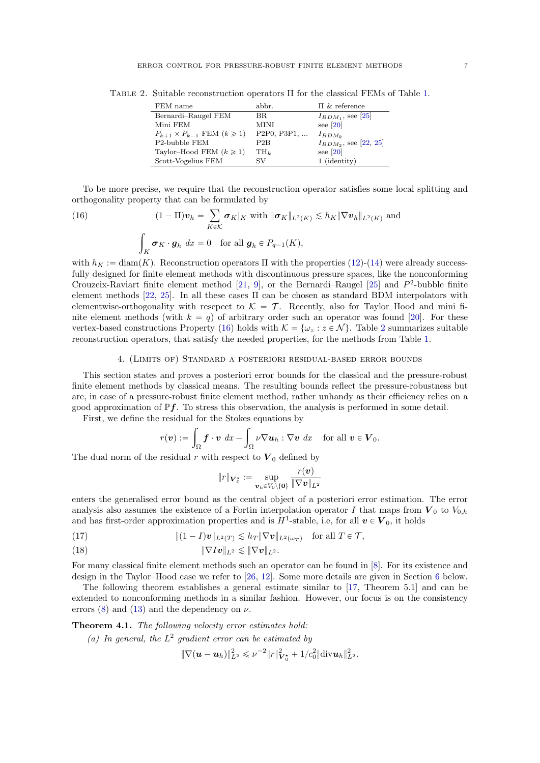| FEM name                                  | abbr.                                                           | $\Pi$ & reference          |
|-------------------------------------------|-----------------------------------------------------------------|----------------------------|
| Bernardi-Raugel FEM                       | BR.                                                             | $I_{BDM_1}$ , see [25]     |
| Mini FEM                                  | MINI                                                            | see $[20]$                 |
| $P_{k+1} \times P_{k-1}$ FEM $(k \geq 1)$ | P <sub>2</sub> P <sub>0</sub> , P <sub>3</sub> P <sub>1</sub> , | $I_{BDM_k}$                |
| P2-bubble FEM                             | P2B                                                             | $I_{BDM_2}$ , see [22, 25] |
| Taylor-Hood FEM $(k \ge 1)$               | $TH_k$                                                          | see $[20]$                 |
| Scott-Vogelius FEM                        | SV                                                              | 1 (identity)               |

<span id="page-6-2"></span>Table 2. Suitable reconstruction operators Π for the classical FEMs of Table [1.](#page-4-0)

To be more precise, we require that the reconstruction operator satisfies some local splitting and orthogonality property that can be formulated by ÿ

<span id="page-6-1"></span>(16) 
$$
(1 - \Pi)\boldsymbol{v}_h = \sum_{K \in \mathcal{K}} \boldsymbol{\sigma}_K|_K \text{ with } \|\boldsymbol{\sigma}_K\|_{L^2(K)} \lesssim h_K \|\nabla \boldsymbol{v}_h\|_{L^2(K)} \text{ and}
$$

$$
\int_K \boldsymbol{\sigma}_K \cdot \boldsymbol{g}_h \, dx = 0 \text{ for all } \boldsymbol{g}_h \in P_{q-1}(K),
$$

with  $h_K := \text{diam}(K)$ . Reconstruction operators  $\Pi$  with the properties [\(12\)](#page-5-1)-[\(14\)](#page-5-3) were already successfully designed for finite element methods with discontinuous pressure spaces, like the nonconforming Crouzeix-Raviart finite element method [\[21,](#page-23-3) [9\]](#page-23-7), or the Bernardi–Raugel [\[25\]](#page-23-6) and  $P^2$ -bubble finite element methods [\[22,](#page-23-8) [25\]](#page-23-6). In all these cases  $\Pi$  can be chosen as standard BDM interpolators with elementwise-orthogonality with resepect to  $\mathcal{K} = \mathcal{T}$ . Recently, also for Taylor–Hood and mini finite element methods (with  $k = q$ ) of arbitrary order such an operator was found [\[20\]](#page-23-9). For these vertex-based constructions Property [\(16\)](#page-6-1) holds with  $\mathcal{K} = \{\omega_z : z \in \mathcal{N}\}\.$  Table [2](#page-6-2) summarizes suitable reconstruction operators, that satisfy the needed properties, for the methods from Table [1.](#page-4-0)

### 4. (Limits of) Standard a posteriori residual-based error bounds

<span id="page-6-0"></span>This section states and proves a posteriori error bounds for the classical and the pressure-robust finite element methods by classical means. The resulting bounds reflect the pressure-robustness but are, in case of a pressure-robust finite element method, rather unhandy as their efficiency relies on a good approximation of  $\mathbb{P}f$ . To stress this observation, the analysis is performed in some detail.

First, we define the residual for the Stokes equations by

$$
r(\boldsymbol{v}) := \int_{\Omega} \boldsymbol{f} \cdot \boldsymbol{v} \, dx - \int_{\Omega} \nu \nabla \boldsymbol{u}_h : \nabla \boldsymbol{v} \, dx \quad \text{for all } \boldsymbol{v} \in \boldsymbol{V}_0.
$$

The dual norm of the residual r with respect to  $V_0$  defined by

$$
\|r\|_{\boldsymbol{V}^{\star}_{0}}:=\sup\limits_{\boldsymbol{v}_h\in V_0\backslash\{\boldsymbol{0}\}}\frac{r(\boldsymbol{v})}{\|\nabla\boldsymbol{v}\|_{L^2}}
$$

enters the generalised error bound as the central object of a posteriori error estimation. The error analysis also assumes the existence of a Fortin interpolation operator I that maps from  $V_0$  to  $V_{0,h}$ and has first-order approximation properties and is  $H^1$ -stable, i.e, for all  $v \in V_0$ , it holds

<span id="page-6-4"></span><span id="page-6-3"></span>(17) 
$$
\|(1-I)\mathbf{v}\|_{L^2(T)} \lesssim h_T \|\nabla \mathbf{v}\|_{L^2(\omega_T)} \text{ for all } T \in \mathcal{T},
$$

$$
\|\nabla I\boldsymbol{v}\|_{L^2}\lesssim \|\nabla \boldsymbol{v}\|_{L^2}.
$$

For many classical finite element methods such an operator can be found in [\[8\]](#page-23-2). For its existence and design in the Taylor–Hood case we refer to [\[26,](#page-24-7) [12\]](#page-23-18). Some more details are given in Section [6](#page-13-0) below.

The following theorem establishes a general estimate similar to [\[17,](#page-23-10) Theorem 5.1] and can be extended to nonconforming methods in a similar fashion. However, our focus is on the consistency errors [\(8\)](#page-4-4) and [\(13\)](#page-5-2) and the dependency on  $\nu$ .

<span id="page-6-5"></span>Theorem 4.1. The following velocity error estimates hold:

(a) In general, the  $L^2$  gradient error can be estimated by

$$
\|\nabla(\bm{u}-\bm{u}_h)\|_{L^2}^2\leqslant \nu^{-2}\|r\|_{\bm{V}_0^{\bm{\star}}}^2+1/c_0^2\|\mathrm{div}\bm{u}_h\|_{L^2}^2.
$$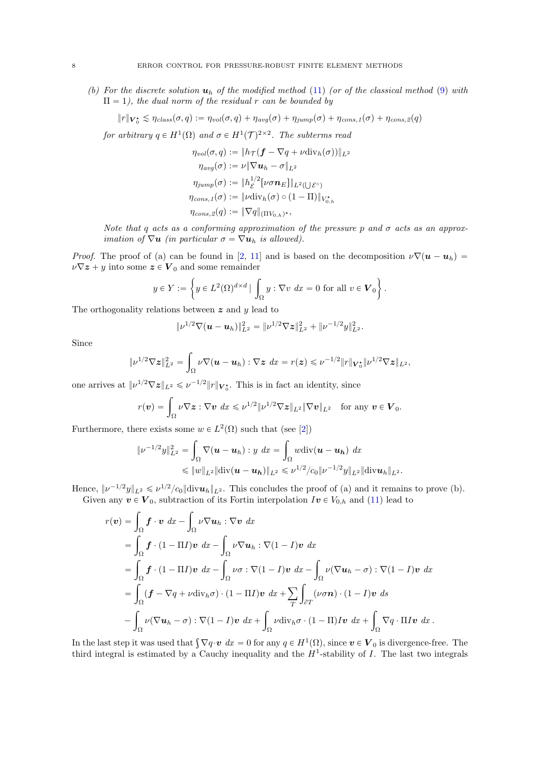(b) For the discrete solution  $u_h$  of the modified method [\(11\)](#page-5-0) (or of the classical method [\(9\)](#page-4-1) with  $\Pi = 1$ , the dual norm of the residual r can be bounded by

$$
||r||_{\mathbf{V}_0^{\star}} \lesssim \eta_{class}(\sigma, q) := \eta_{vol}(\sigma, q) + \eta_{avg}(\sigma) + \eta_{jump}(\sigma) + \eta_{cons, 1}(\sigma) + \eta_{cons, 2}(q)
$$

for arbitrary  $q \in H^1(\Omega)$  and  $\sigma \in H^1(\mathcal{T})^{2 \times 2}$ . The subterms read

$$
\eta_{vol}(\sigma, q) := \|h_{\mathcal{T}}(f - \nabla q + \nu \text{div}_h(\sigma))\|_{L^2}
$$

$$
\eta_{avg}(\sigma) := \nu \|\nabla u_h - \sigma\|_{L^2}
$$

$$
\eta_{jump}(\sigma) := \|h_{\mathcal{E}}^{1/2}[\nu \sigma n_E]\|_{L^2(\bigcup \mathcal{E}^{\circ})}
$$

$$
\eta_{cons,1}(\sigma) := \|\nu \text{div}_h(\sigma) \circ (1 - \Pi)\|_{V_{0,h}^{\star}}
$$

$$
\eta_{cons,2}(q) := \|\nabla q\|_{(\Pi V_{0,h})^{\star}},
$$

Note that q acts as a conforming approximation of the pressure p and  $\sigma$  acts as an approx*imation of*  $\nabla u$  *(in particular*  $\sigma = \nabla u_h$  *is allowed).* 

*Proof.* The proof of (a) can be found in [\[2,](#page-23-19) [11\]](#page-23-20) and is based on the decomposition  $\nu \nabla (\mathbf{u} - \mathbf{u}_h) =$  $\nu \nabla z + y$  into some  $z \in V_0$  and some remainder \*

$$
y \in Y := \left\{ y \in L^2(\Omega)^{d \times d} \mid \int_{\Omega} y : \nabla v \, dx = 0 \text{ for all } v \in V_0 \right\}.
$$

The orthogonality relations between  $\boldsymbol{z}$  and  $\boldsymbol{y}$  lead to

$$
\|\nu^{1/2}\nabla(\boldsymbol{u}-\boldsymbol{u}_h)\|_{L^2}^2=\|\nu^{1/2}\nabla z\|_{L^2}^2+\|\nu^{-1/2}y\|_{L^2}^2.
$$

Since

$$
\|\nu^{1/2}\nabla z\|_{L^2}^2=\int_{\Omega}\nu\nabla(\boldsymbol{u}-\boldsymbol{u}_h):\nabla z\ dx=r(z)\leqslant \nu^{-1/2}\|r\|_{\mathbf{V}_0^{\star}}\|\nu^{1/2}\nabla z\|_{L^2},
$$

one arrives at  $\|\nu^{1/2}\nabla z\|_{L^2} \leq \nu^{-1/2} \|r\|_{\mathbf{V}_0^*}$ . This is in fact an identity, since

$$
r(\boldsymbol{v}) = \int_{\Omega} \nu \nabla \boldsymbol{z} : \nabla \boldsymbol{v} \, dx \leqslant \nu^{1/2} \| \nu^{1/2} \nabla \boldsymbol{z} \|_{L^2} \| \nabla \boldsymbol{v} \|_{L^2} \quad \text{for any } \boldsymbol{v} \in \boldsymbol{V}_0.
$$

Furthermore, there exists some  $w \in L^2(\Omega)$  such that (see [\[2\]](#page-23-19))

$$
\begin{aligned} \|\nu^{-1/2}y\|_{L^2}^2 &= \int_{\Omega} \nabla(\boldsymbol{u} - \boldsymbol{u}_h) : y \, dx = \int_{\Omega} w \text{div}(\boldsymbol{u} - \boldsymbol{u}_h) \, dx \\ &\leqslant \|w\|_{L^2} \|\text{div}(\boldsymbol{u} - \boldsymbol{u}_h)\|_{L^2} \leqslant \nu^{1/2} / c_0 \| \nu^{-1/2} y \|_{L^2} \|\text{div} \boldsymbol{u}_h\|_{L^2} .\end{aligned}
$$

Hence,  $\|\nu^{-1/2}y\|_{L^2} \leqslant \nu^{1/2}/c_0\|\text{div} \mathbf{u}_h\|_{L^2}$ . This concludes the proof of (a) and it remains to prove (b).

Given any  $v \in V_0$ , subtraction of its Fortin interpolation  $Iv \in V_{0,h}$  and [\(11\)](#page-5-0) lead to

$$
r(\mathbf{v}) = \int_{\Omega} \mathbf{f} \cdot \mathbf{v} \, dx - \int_{\Omega} \nu \nabla \mathbf{u}_{h} : \nabla \mathbf{v} \, dx
$$
  
\n
$$
= \int_{\Omega} \mathbf{f} \cdot (1 - \Pi I) \mathbf{v} \, dx - \int_{\Omega} \nu \nabla \mathbf{u}_{h} : \nabla (1 - I) \mathbf{v} \, dx
$$
  
\n
$$
= \int_{\Omega} \mathbf{f} \cdot (1 - \Pi I) \mathbf{v} \, dx - \int_{\Omega} \nu \sigma : \nabla (1 - I) \mathbf{v} \, dx - \int_{\Omega} \nu (\nabla \mathbf{u}_{h} - \sigma) : \nabla (1 - I) \mathbf{v} \, dx
$$
  
\n
$$
= \int_{\Omega} (\mathbf{f} - \nabla q + \nu \operatorname{div}_{h} \sigma) \cdot (1 - \Pi I) \mathbf{v} \, dx + \sum_{T} \int_{\partial T} (\nu \sigma \mathbf{n}) \cdot (1 - I) \mathbf{v} \, ds
$$
  
\n
$$
- \int_{\Omega} \nu (\nabla \mathbf{u}_{h} - \sigma) : \nabla (1 - I) \mathbf{v} \, dx + \int_{\Omega} \nu \operatorname{div}_{h} \sigma \cdot (1 - \Pi) I \mathbf{v} \, dx + \int_{\Omega} \nabla q \cdot \Pi I \mathbf{v} \, dx.
$$

In the last step it was used that  $\int \nabla q \cdot \mathbf{v} \, dx = 0$  for any  $q \in H^1(\Omega)$ , since  $\mathbf{v} \in \mathbf{V}_0$  is divergence-free. The third integral is estimated by a Cauchy inequality and the  $H^1$ -stability of I. The last two integrals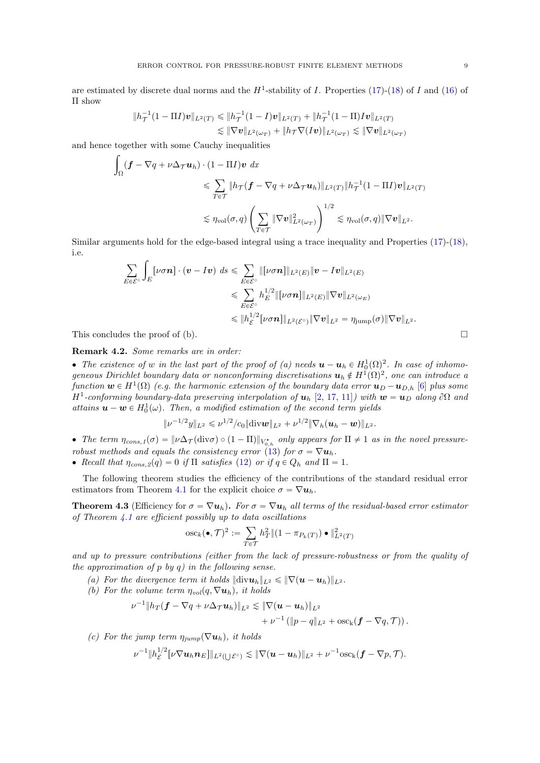are estimated by discrete dual norms and the  $H^1$ -stability of I. Properties [\(17\)](#page-6-3)-[\(18\)](#page-6-4) of I and [\(16\)](#page-6-1) of Π show

$$
\begin{aligned} \|h_T^{-1}(1-\Pi I)\mathbf{v}\|_{L^2(T)} &\leq \|h_T^{-1}(1-I)\mathbf{v}\|_{L^2(T)} + \|h_T^{-1}(1-\Pi)I\mathbf{v}\|_{L^2(T)} \\ &\leq \|\nabla \mathbf{v}\|_{L^2(\omega_T)} + \|h_T \nabla(I\mathbf{v})\|_{L^2(\omega_T)} \lesssim \|\nabla \mathbf{v}\|_{L^2(\omega_T)} \end{aligned}
$$

and hence together with some Cauchy inequalities

$$
\int_{\Omega} (\mathbf{f} - \nabla q + \nu \Delta_{\mathcal{T}} \mathbf{u}_h) \cdot (1 - \Pi I) \mathbf{v} \, dx
$$
\n
$$
\leq \sum_{T \in \mathcal{T}} \|h_{\mathcal{T}} (\mathbf{f} - \nabla q + \nu \Delta_{\mathcal{T}} \mathbf{u}_h)\|_{L^2(T)} \|h_{\mathcal{T}}^{-1} (1 - \Pi I) \mathbf{v}\|_{L^2(T)}
$$
\n
$$
\leq \eta_{\text{vol}}(\sigma, q) \left( \sum_{T \in \mathcal{T}} \|\nabla \mathbf{v}\|_{L^2(\omega_T)}^2 \right)^{1/2} \lesssim \eta_{\text{vol}}(\sigma, q) \|\nabla \mathbf{v}\|_{L^2}.
$$

Similar arguments hold for the edge-based integral using a trace inequality and Properties [\(17\)](#page-6-3)-[\(18\)](#page-6-4), i.e.

$$
\sum_{E \in \mathcal{E}^{\circ}} \int_{E} [\nu \sigma \mathbf{n}] \cdot (\mathbf{v} - I\mathbf{v}) \, ds \leqslant \sum_{E \in \mathcal{E}^{\circ}} \| [\nu \sigma \mathbf{n}] \|_{L^{2}(E)} \|\mathbf{v} - I\mathbf{v} \|_{L^{2}(E)}
$$
\n
$$
\leqslant \sum_{E \in \mathcal{E}^{\circ}} h_{E}^{1/2} \| [\nu \sigma \mathbf{n}] \|_{L^{2}(E)} \| \nabla \mathbf{v} \|_{L^{2}(\omega_{E})}
$$
\n
$$
\leqslant \| h_{\mathcal{E}}^{1/2} [\nu \sigma \mathbf{n}] \|_{L^{2}(\mathcal{E}^{\circ})} \| \nabla \mathbf{v} \|_{L^{2}} = \eta_{\text{jump}}(\sigma) \| \nabla \mathbf{v} \|_{L^{2}}.
$$

This concludes the proof of (b).  $\Box$ 

Remark 4.2. Some remarks are in order:

• The existence of w in the last part of the proof of (a) needs  $\mathbf{u} - \mathbf{u}_h \in H_0^1(\Omega)^2$ . In case of inhomogeneous Dirichlet boundary data or nonconforming discretisations  $u_h \notin H^1(\Omega)^2$ , one can introduce a function  $\bm{w}\in H^1(\Omega)$  (e.g. the harmonic extension of the boundary data error  $\bm{u}_D-\bm{u}_{D,h}$  [\[6\]](#page-23-21) plus some H<sup>1</sup>-conforming boundary-data preserving interpolation of  $u_h$  [\[2,](#page-23-19) [17,](#page-23-10) [11\]](#page-23-20)) with  $w = u_D$  along  $\partial\Omega$  and attains  $\mathbf{u} - \mathbf{w} \in H_0^1(\omega)$ . Then, a modified estimation of the second term yields

$$
\|\nu^{-1/2}y\|_{L^2}\leqslant \nu^{1/2}/c_0\|\mathrm{div}\boldsymbol{w}\|_{L^2}+\nu^{1/2}\|\nabla_h(\boldsymbol{u}_h-\boldsymbol{w})\|_{L^2}.
$$

• The term  $\eta_{cons,1}(\sigma) = \|\nu\Delta_\mathcal{T}(\text{div}\sigma) \circ (1-\Pi)\|_{V_{0,h}^{\star}}$  only appears for  $\Pi \neq 1$  as in the novel pressure-robust methods and equals the consistency error [\(13\)](#page-5-2) for  $\sigma = \nabla u_h$ .

• Recall that  $\eta_{cons,2}(q) = 0$  if  $\Pi$  satisfies [\(12\)](#page-5-1) or if  $q \in Q_h$  and  $\Pi = 1$ .

The following theorem studies the efficiency of the contributions of the standard residual error estimators from Theorem [4.1](#page-6-5) for the explicit choice  $\sigma = \nabla u_h$ .

<span id="page-8-0"></span>**Theorem 4.3** (Efficiency for  $\sigma = \nabla u_h$ ). For  $\sigma = \nabla u_h$  all terms of the residual-based error estimator of Theorem  $4.1$  are efficient possibly up to data oscillations

$$
\operatorname{osc}_{k}(\bullet, \mathcal{T})^2 := \sum_{T \in \mathcal{T}} h_T^2 \| (1 - \pi_{P_k(T)}) \bullet \|^2_{L^2(T)}
$$

and up to pressure contributions (either from the lack of pressure-robustness or from the quality of the approximation of p by q) in the following sense.

- (a) For the divergence term it holds  $\|\text{div}\mathbf{u}_h\|_{L^2} \leqslant \|\nabla(\mathbf{u}-\mathbf{u}_h)\|_{L^2}$ .
- (b) For the volume term  $\eta_{vol}(q, \nabla u_h)$ , it holds

$$
\nu^{-1} \|h_T(\bm{f}-\nabla q + \nu \Delta_{\mathcal{T}} \bm{u}_h)\|_{L^2} \lesssim \|\nabla (\bm{u}-\bm{u}_h)\|_{L^2} + \nu^{-1} (\|p-q\|_{L^2} + \mathrm{osc_k}(\bm{f}-\nabla q, \mathcal{T})).
$$

(c) For the jump term  $\eta_{jump}(\nabla u_h)$ , it holds

$$
\nu^{-1}||h_{\mathcal{E}}^{1/2}[\nu\nabla u_h\boldsymbol{n}_E]||_{L^2(\bigcup \mathcal{E}^{\circ})}\lesssim \|\nabla(\boldsymbol{u}-\boldsymbol{u}_h)\|_{L^2}+\nu^{-1}\mathrm{osc}_k(\boldsymbol{f}-\nabla p,\mathcal{T}).
$$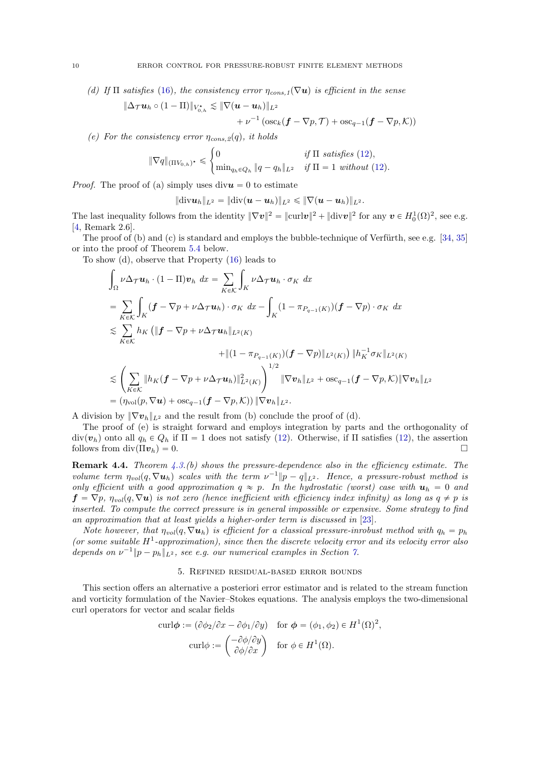(d) If  $\Pi$  satisfies [\(16\)](#page-6-1), the consistency error  $\eta_{cons,1}(\nabla u)$  is efficient in the sense

$$
\|\Delta_{\mathcal{T}}\boldsymbol{u}_h\circ(1-\Pi)\|_{V_{0,h}^{\star}}\lesssim \|\nabla(\boldsymbol{u}-\boldsymbol{u}_h)\|_{L^2} + \nu^{-1}(\operatorname{osc}_k(\boldsymbol{f}-\nabla p, \mathcal{T})+\operatorname{osc}_{q-1}(\boldsymbol{f}-\nabla p, \mathcal{K}))
$$

(e) For the consistency error  $\eta_{cons,2}(q)$ , it holds

$$
\|\nabla q\|_{(\Pi V_{0,h})^*} \leq \begin{cases} 0 & \text{if } \Pi \text{ satisfies (12)}, \\ \min_{q_h \in Q_h} \|q - q_h\|_{L^2} & \text{if } \Pi = 1 \text{ without (12)}. \end{cases}
$$

*Proof.* The proof of (a) simply uses  $div\mathbf{u} = 0$  to estimate

$$
\|\text{div} \textbf{\textit{u}}_h\|_{L^2} = \|\text{div}(\textbf{\textit{u}} - \textbf{\textit{u}}_h)\|_{L^2} \leq \|\nabla(\textbf{\textit{u}} - \textbf{\textit{u}}_h)\|_{L^2}.
$$

The last inequality follows from the identity  $\|\nabla v\|^2 = \|\text{curl} v\|^2 + \|\text{div} v\|^2$  for any  $v \in H_0^1(\Omega)^2$ , see e.g. [\[4,](#page-23-22) Remark 2.6].

The proof of  $(b)$  and  $(c)$  is standard and employs the bubble-technique of Verfürth, see e.g.  $[34, 35]$  $[34, 35]$  $[34, 35]$ or into the proof of Theorem [5.4](#page-12-0) below.

To show (d), observe that Property [\(16\)](#page-6-1) leads to

$$
\int_{\Omega} \nu \Delta_{\mathcal{T}} \mathbf{u}_{h} \cdot (1 - \Pi) \mathbf{v}_{h} dx = \sum_{K \in \mathcal{K}} \int_{K} \nu \Delta_{\mathcal{T}} \mathbf{u}_{h} \cdot \sigma_{K} dx
$$
\n
$$
= \sum_{K \in \mathcal{K}} \int_{K} (\mathbf{f} - \nabla p + \nu \Delta_{\mathcal{T}} \mathbf{u}_{h}) \cdot \sigma_{K} dx - \int_{K} (1 - \pi_{P_{q-1}(K)})(\mathbf{f} - \nabla p) \cdot \sigma_{K} dx
$$
\n
$$
\lesssim \sum_{K \in \mathcal{K}} h_{K} (\Vert \mathbf{f} - \nabla p + \nu \Delta_{\mathcal{T}} \mathbf{u}_{h} \Vert_{L^{2}(K)} + \Vert (1 - \pi_{P_{q-1}(K)})(\mathbf{f} - \nabla p) \Vert_{L^{2}(K)}) \Vert h_{K}^{-1} \sigma_{K} \Vert_{L^{2}(K)}
$$
\n
$$
\lesssim \left( \sum_{K \in \mathcal{K}} \Vert h_{K} (\mathbf{f} - \nabla p + \nu \Delta_{\mathcal{T}} \mathbf{u}_{h}) \Vert_{L^{2}(K)}^{2} \right)^{1/2} \Vert \nabla \mathbf{v}_{h} \Vert_{L^{2}} + \text{osc}_{q-1} (\mathbf{f} - \nabla p, \mathcal{K}) \Vert \nabla \mathbf{v}_{h} \Vert_{L^{2}}
$$
\n
$$
= (\eta_{\text{vol}}(p, \nabla \mathbf{u}) + \text{osc}_{q-1} (\mathbf{f} - \nabla p, \mathcal{K})) \Vert \nabla \mathbf{v}_{h} \Vert_{L^{2}}.
$$

A division by  $\|\nabla v_h\|_{L^2}$  and the result from (b) conclude the proof of (d).

The proof of (e) is straight forward and employs integration by parts and the orthogonality of  $div(\mathbf{v}_h)$  onto all  $q_h \in Q_h$  if  $\Pi = 1$  does not satisfy [\(12\)](#page-5-1). Otherwise, if  $\Pi$  satisfies (12), the assertion follows from div $(\Pi v_h) = 0$ .

**Remark 4.4.** Theorem  $4.3.(b)$  $4.3.(b)$  shows the pressure-dependence also in the efficiency estimate. The volume term  $\eta_{vol}(q, \nabla u_h)$  scales with the term  $\nu^{-1}||p - q||_{L^2}$ . Hence, a pressure-robust method is only efficient with a good approximation  $q \approx p$ . In the hydrostatic (worst) case with  $u_h = 0$  and  $f = \nabla p$ ,  $\eta_{vol}(q, \nabla u)$  is not zero (hence inefficient with efficiency index infinity) as long as  $q \neq p$  is inserted. To compute the correct pressure is in general impossible or expensive. Some strategy to find an approximation that at least yields a higher-order term is discussed in [\[23\]](#page-23-12).

Note however, that  $\eta_{vol}(q, \nabla u_h)$  is efficient for a classical pressure-inrobust method with  $q_h = p_h$ (or some suitable  $H^1$ -approximation), since then the discrete velocity error and its velocity error also depends on  $\nu^{-1} \| p - p_h \|_{L^2}$ , see e.g. our numerical examples in Section [7.](#page-18-0)

#### 5. Refined residual-based error bounds

<span id="page-9-0"></span>This section offers an alternative a posteriori error estimator and is related to the stream function and vorticity formulation of the Navier–Stokes equations. The analysis employs the two-dimensional curl operators for vector and scalar fields

$$
\operatorname{curl}\boldsymbol{\phi} := (\partial\phi_2/\partial x - \partial\phi_1/\partial y) \quad \text{for } \boldsymbol{\phi} = (\phi_1, \phi_2) \in H^1(\Omega)^2,
$$

$$
\operatorname{curl}\boldsymbol{\phi} := \begin{pmatrix} -\partial\phi/\partial y \\ \partial\phi/\partial x \end{pmatrix} \quad \text{for } \phi \in H^1(\Omega).
$$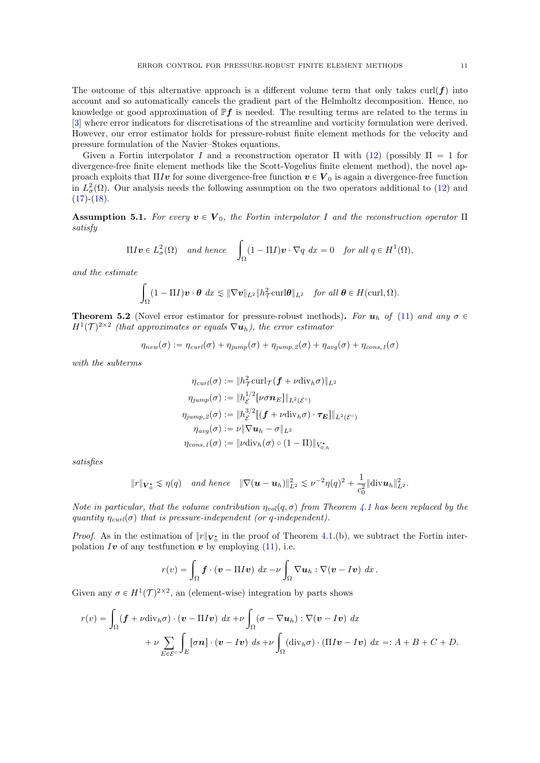The outcome of this alternative approach is a different volume term that only takes  $\text{curl}(\boldsymbol{f})$  into account and so automatically cancels the gradient part of the Helmholtz decomposition. Hence, no knowledge or good approximation of  $\mathbb{P} f$  is needed. The resulting terms are related to the terms in [\[3\]](#page-23-13) where error indicators for discretisations of the streamline and vorticity formulation were derived. However, our error estimator holds for pressure-robust finite element methods for the velocity and pressure formulation of the Navier–Stokes equations.

Given a Fortin interpolator I and a reconstruction operator  $\Pi$  with [\(12\)](#page-5-1) (possibly  $\Pi = 1$  for divergence-free finite element methods like the Scott-Vogelius finite element method), the novel approach exploits that  $\Pi Iv$  for some divergence-free function  $v \in V_0$  is again a divergence-free function in  $L^2_{\sigma}(\Omega)$ . Our analysis needs the following assumption on the two operators additional to [\(12\)](#page-5-1) and  $(17)-(18)$  $(17)-(18)$  $(17)-(18)$ .

<span id="page-10-0"></span>**Assumption 5.1.** For every  $v \in V_0$ , the Fortin interpolator I and the reconstruction operator  $\Pi$ satisfy

$$
\Pi I \mathbf{v} \in L^2_{\sigma}(\Omega) \quad \text{and hence} \quad \int_{\Omega} (1 - \Pi I) \mathbf{v} \cdot \nabla q \ dx = 0 \quad \text{for all } q \in H^1(\Omega),
$$

and the estimate

$$
\int_{\Omega} (1-\Pi I)\boldsymbol{v}\cdot\boldsymbol{\theta}\,dx \lesssim \|\nabla \boldsymbol{v}\|_{L^2} \|h^2_\mathcal{T}\mathrm{curl}\boldsymbol{\theta}\|_{L^2} \quad \text{for all } \boldsymbol{\theta}\in H(\mathrm{curl},\Omega).
$$

<span id="page-10-1"></span>**Theorem 5.2** (Novel error estimator for pressure-robust methods). For  $u_h$  of [\(11\)](#page-5-0) and any  $\sigma \in$  $H^1(\mathcal{T})^{2\times 2}$  (that approximates or equals  $\nabla \boldsymbol{u}_h$ ), the error estimator

$$
\eta_{new}(\sigma) := \eta_{curl}(\sigma) + \eta_{jump}(\sigma) + \eta_{jump,2}(\sigma) + \eta_{avg}(\sigma) + \eta_{cons,1}(\sigma)
$$

with the subterms

$$
\eta_{\text{curl}}(\sigma) := \|h_T^2 \text{curl}_{\mathcal{T}}(f + \nu \text{div}_h \sigma)\|_{L^2}
$$
  

$$
\eta_{\text{jump}}(\sigma) := \|h_{\mathcal{E}}^{1/2}[\nu \sigma \mathbf{n}_E]\|_{L^2(\mathcal{E}^{\circ})}
$$
  

$$
\eta_{\text{jump},2}(\sigma) := \|h_{\mathcal{E}}^{3/2}[(f + \nu \text{div}_h \sigma) \cdot \tau_E]\|_{L^2(\mathcal{E}^{\circ})}
$$
  

$$
\eta_{\text{avg}}(\sigma) := \nu \|\nabla \mathbf{u}_h - \sigma\|_{L^2}
$$
  

$$
\eta_{\text{cons},1}(\sigma) := \|\nu \text{div}_h(\sigma) \circ (1 - \Pi)\|_{V_{0,h}^*}
$$

satisfies

$$
||r||_{\mathbf{V}_0^*} \lesssim \eta(q)
$$
 and hence  $||\nabla(\mathbf{u} - \mathbf{u}_h)||_{L^2}^2 \lesssim \nu^{-2} \eta(q)^2 + \frac{1}{c_0^2} ||\text{div}\mathbf{u}_h||_{L^2}^2$ .

Note in particular, that the volume contribution  $\eta_{vol}(q, \sigma)$  from Theorem [4.1](#page-6-5) has been replaced by the quantity  $\eta_{\text{curl}}(\sigma)$  that is pressure-independent (or q-independent).

*Proof.* As in the estimation of  $||r||_{V_0^*}$  in the proof of Theorem [4.1.](#page-6-5)(b), we subtract the Fortin interpolation Iv of any test function  $v$  by employing [\(11\)](#page-5-0), i.e.

$$
r(v) = \int_{\Omega} \boldsymbol{f} \cdot (\boldsymbol{v} - \Pi I \boldsymbol{v}) \, dx - \nu \int_{\Omega} \nabla \boldsymbol{u}_h : \nabla (\boldsymbol{v} - I \boldsymbol{v}) \, dx \, .
$$

Given any  $\sigma \in H^1(\mathcal{T})^{2\times 2}$ , an (element-wise) integration by parts shows

$$
r(v) = \int_{\Omega} (\boldsymbol{f} + \nu \operatorname{div}_h \sigma) \cdot (\boldsymbol{v} - \Pi I \boldsymbol{v}) \, dx + \nu \int_{\Omega} (\sigma - \nabla \boldsymbol{u}_h) : \nabla (\boldsymbol{v} - I \boldsymbol{v}) \, dx + \nu \sum_{E \in \mathcal{E}^{\circ}} \int_E [\sigma \boldsymbol{n}] \cdot (\boldsymbol{v} - I \boldsymbol{v}) \, ds + \nu \int_{\Omega} (\operatorname{div}_h \sigma) \cdot (\Pi I \boldsymbol{v} - I \boldsymbol{v}) \, dx =: A + B + C + D.
$$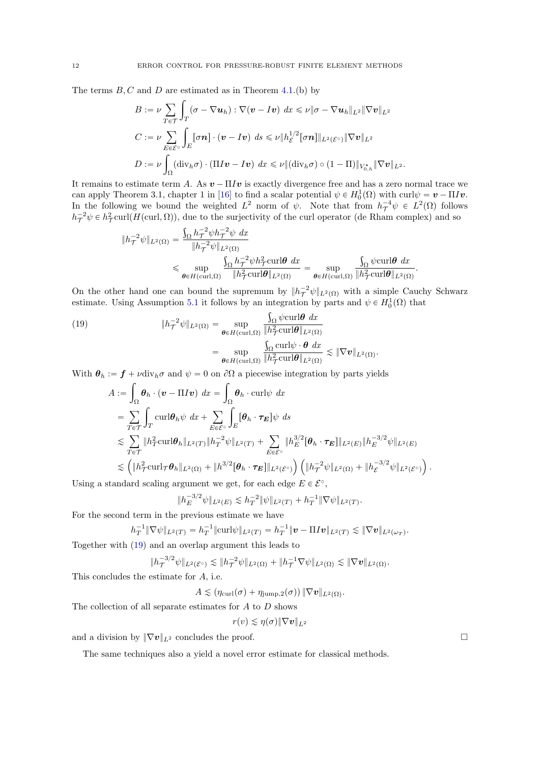The terms  $B, C$  and  $D$  are estimated as in Theorem [4.1.](#page-6-5)(b) by

$$
B := \nu \sum_{T \in \mathcal{T}} \int_T (\sigma - \nabla u_h) : \nabla (\mathbf{v} - I\mathbf{v}) \, dx \leq \nu \|\sigma - \nabla u_h\|_{L^2} \|\nabla \mathbf{v}\|_{L^2}
$$
  

$$
C := \nu \sum_{E \in \mathcal{E}^\circ} \int_E [\sigma \mathbf{n}] \cdot (\mathbf{v} - I\mathbf{v}) \, ds \leq \nu \|h_E^{1/2} [\sigma \mathbf{n}]\|_{L^2(\mathcal{E}^\circ)} \|\nabla \mathbf{v}\|_{L^2}
$$
  

$$
D := \nu \int_{\Omega} (div_h \sigma) \cdot (\Pi I\mathbf{v} - I\mathbf{v}) \, dx \leq \nu \|(\text{div}_h \sigma) \circ (1 - \Pi)\|_{V_{0,h}^*} \|\nabla \mathbf{v}\|_{L^2}.
$$

It remains to estimate term A. As  $v - \Pi I v$  is exactly divergence free and has a zero normal trace we can apply Theorem 3.1, chapter 1 in [\[16\]](#page-23-14) to find a scalar potential  $\psi \in H_0^1(\Omega)$  with curl $\psi = \mathbf{v} - \Pi I \mathbf{v}$ . In the following we bound the weighted  $L^2$  norm of  $\psi$ . Note that from  $h_{\mathcal{T}}^{-4}\psi \in L^2(\Omega)$  follows  $h_T^{-2}\psi \in h_T^2$ curl $(H(\text{curl}, \Omega))$ , due to the surjectivity of the curl operator (de Rham complex) and so

$$
\begin{split} \|h_\mathcal{T}^{-2}\psi\|_{L^2(\Omega)}&=\frac{\int_\Omega h_\mathcal{T}^{-2}\psi h_\mathcal{T}^{-2}\psi\ dx}{\|h_\mathcal{T}^{-2}\psi\|_{L^2(\Omega)}}\\ &\leqslant \sup_{\theta\in H(\mathrm{curl},\Omega)}\frac{\int_\Omega h_\mathcal{T}^{-2}\psi h_\mathcal{T}^2\mathrm{curl}\theta\ dx}{\|h_\mathcal{T}^2\mathrm{curl}\theta\|_{L^2(\Omega)}}=\sup_{\theta\in H(\mathrm{curl},\Omega)}\frac{\int_\Omega \psi\mathrm{curl}\theta\ dx}{\|h_\mathcal{T}^2\mathrm{curl}\theta\|_{L^2(\Omega)}}. \end{split}
$$

On the other hand one can bound the supremum by  $||h_{\mathcal{T}}^{-2}\psi||_{L^2(\Omega)}$  with a simple Cauchy Schwarz estimate. Using Assumption [5.1](#page-10-0) it follows by an integration by parts and  $\psi \in H_0^1(\Omega)$  that

<span id="page-11-0"></span>(19) 
$$
\|h_{\mathcal{T}}^{-2}\psi\|_{L^{2}(\Omega)} = \sup_{\theta \in H(\text{curl},\Omega)} \frac{\int_{\Omega} \psi \text{curl}\theta \, dx}{\|h_{\mathcal{T}}^{2}\text{curl}\theta\|_{L^{2}(\Omega)}} = \sup_{\theta \in H(\text{curl},\Omega)} \frac{\int_{\Omega} \text{curl}\psi \cdot \theta \, dx}{\|h_{\mathcal{T}}^{2}\text{curl}\theta\|_{L^{2}(\Omega)}} \lesssim \|\nabla v\|_{L^{2}(\Omega)}.
$$

With  $\theta_h := f + \nu \text{div}_h \sigma$  and  $\psi = 0$  on  $\partial \Omega$  a piecewise integration by parts yields

$$
A := \int_{\Omega} \theta_h \cdot (\mathbf{v} - \Pi I \mathbf{v}) dx = \int_{\Omega} \theta_h \cdot \text{curl} \psi dx
$$
  
\n
$$
= \sum_{T \in \mathcal{T}} \int_{T} \text{curl} \theta_h \psi dx + \sum_{E \in \mathcal{E}^{\circ}} \int_{E} [\theta_h \cdot \tau_E] \psi ds
$$
  
\n
$$
\lesssim \sum_{T \in \mathcal{T}} \|h_T^2 \text{curl} \theta_h\|_{L^2(T)} \|h_T^{-2} \psi\|_{L^2(T)} + \sum_{E \in \mathcal{E}^{\circ}} \|h_E^{3/2} [\theta_h \cdot \tau_E]\|_{L^2(E)} \|h_E^{-3/2} \psi\|_{L^2(E)}
$$
  
\n
$$
\lesssim \left( \|h_T^2 \text{curl}_{\mathcal{T}} \theta_h\|_{L^2(\Omega)} + \|h_3^{3/2} [\theta_h \cdot \tau_E]\|_{L^2(\mathcal{E}^{\circ})} \right) \left( \|h_T^{-2} \psi\|_{L^2(\Omega)} + \|h_{\mathcal{E}}^{-3/2} \psi\|_{L^2(\mathcal{E}^{\circ})} \right).
$$

Using a standard scaling argument we get, for each edge  $E \in \mathcal{E}^{\circ}$ ,

$$
||h_E^{-3/2}\psi||_{L^2(E)} \lesssim h_T^{-2} ||\psi||_{L^2(T)} + h_T^{-1} ||\nabla \psi||_{L^2(T)}.
$$

For the second term in the previous estimate we have

$$
h_T^{-1} \|\nabla \psi\|_{L^2(T)} = h_T^{-1} \|\mathrm{curl}\psi\|_{L^2(T)} = h_T^{-1} \|\bm{v} - \Pi I \bm{v}\|_{L^2(T)} \lesssim \|\nabla \bm{v}\|_{L^2(\omega_T)}.
$$

Together with [\(19\)](#page-11-0) and an overlap argument this leads to

$$
\|h_\mathcal{T}^{-3/2}\psi\|_{L^2(\mathcal{E}^\circ)} \lesssim \|h_\mathcal{T}^{-2}\psi\|_{L^2(\Omega)} + \|h_\mathcal{T}^{-1}\nabla\psi\|_{L^2(\Omega)} \lesssim \|\nabla v\|_{L^2(\Omega)}.
$$

This concludes the estimate for A, i.e.

 $A \lesssim (\eta_{\text{curl}}(\sigma) + \eta_{\text{jump},2}(\sigma)) \|\nabla \boldsymbol{v}\|_{L^2(\Omega)}.$ 

The collection of all separate estimates for A to D shows

$$
r(v) \lesssim \eta(\sigma) \|\nabla \mathbf{v}\|_{L^2}
$$

and a division by  $\|\nabla v\|_{L^2}$  concludes the proof.

The same techniques also a yield a novel error estimate for classical methods.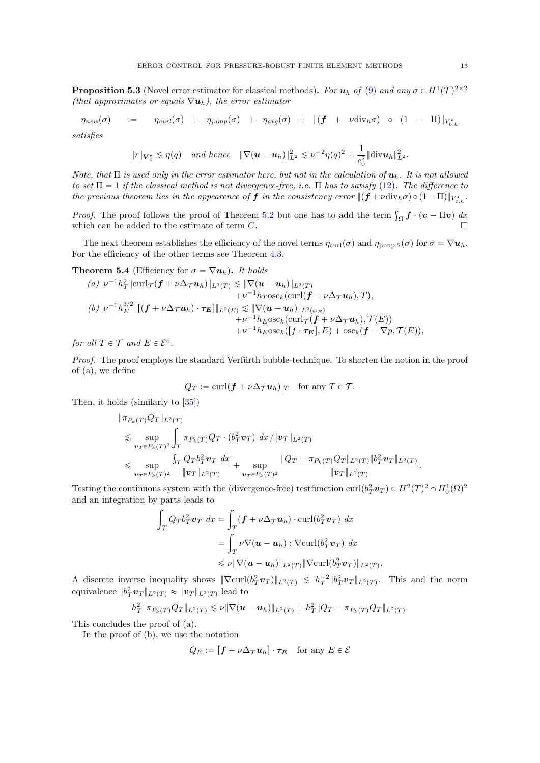<span id="page-12-1"></span>**Proposition 5.3** (Novel error estimator for classical methods). For  $u_h$  of [\(9\)](#page-4-1) and any  $\sigma \in H^1(\mathcal{T})^{2\times 2}$ (that approximates or equals  $\nabla u_h$ ), the error estimator

$$
\eta_{new}(\sigma) \quad := \quad \eta_{curl}(\sigma) + \eta_{jump}(\sigma) + \eta_{avg}(\sigma) + \| (f + \nu \operatorname{div}_h \sigma) \circ (1 - \Pi) \|_{V_{0,h}^*}
$$

satisfies

$$
||r||_{\mathbf{V}_0^*} \lesssim \eta(q)
$$
 and hence  $||\nabla(\mathbf{u}-\mathbf{u}_h)||_{L^2}^2 \lesssim \nu^{-2}\eta(q)^2 + \frac{1}{c_0^2}||\text{div}\mathbf{u}_h||_{L^2}^2$ .

Note, that  $\Pi$  is used only in the error estimator here, but not in the calculation of  $\mathbf{u}_h$ . It is not allowed to set  $\Pi = 1$  if the classical method is not divergence-free, i.e.  $\Pi$  has to satisfy [\(12\)](#page-5-1). The difference to the previous theorem lies in the appearence of  $f$  in the consistency error  $\|(f + \nu \text{div}_h \sigma) \circ (1 - \Pi)\|_{V_{0,h}^\star}$ .

*Proof.* The proof follows the proof of Theorem [5.2](#page-10-1) but one has to add the term  $\int_{\Omega} \boldsymbol{f} \cdot (\boldsymbol{v} - \Pi \boldsymbol{v}) d\boldsymbol{x}$ which can be added to the estimate of term  $C$ .

The next theorem establishes the efficiency of the novel terms  $\eta_{\text{curl}}(\sigma)$  and  $\eta_{\text{jump},2}(\sigma)$  for  $\sigma = \nabla u_h$ . For the efficiency of the other terms see Theorem [4.3.](#page-8-0)

<span id="page-12-0"></span>**Theorem 5.4** (Efficiency for  $\sigma = \nabla u_h$ ). It holds

(a) 
$$
\nu^{-1}h_T^2 \|\text{curl}_{\mathcal{T}}(\boldsymbol{f} + \nu \Delta_{\mathcal{T}} \boldsymbol{u}_h)\|_{L^2(T)} \lesssim \|\nabla(\boldsymbol{u} - \boldsymbol{u}_h)\|_{L^2(T)}
$$
  
\t $+ \nu^{-1}h_T \text{osc}_k(\text{curl}(\boldsymbol{f} + \nu \Delta_{\mathcal{T}} \boldsymbol{u}_h), T),$   
(b)  $\nu^{-1}h_E^{3/2} \|\[(\boldsymbol{f} + \nu \Delta_{\mathcal{T}} \boldsymbol{u}_h) \cdot \boldsymbol{\tau}_E\]\|_{L^2(E)} \lesssim \|\nabla(\boldsymbol{u} - \boldsymbol{u}_h)\|_{L^2(\omega_E)}$   
\t $+ \nu^{-1}h_E \text{osc}_k(\text{curl}_{\mathcal{T}}(\boldsymbol{f} + \nu \Delta_{\mathcal{T}} \boldsymbol{u}_h), \mathcal{T}(E))$   
\t $+ \nu^{-1}h_E \text{osc}_k([\boldsymbol{f} \cdot \boldsymbol{\tau}_E], E) + \text{osc}_k(\boldsymbol{f} - \nabla p, \mathcal{T}(E)),$ 

for all  $T \in \mathcal{T}$  and  $E \in \mathcal{E}^{\circ}$ .

Proof. The proof employs the standard Verfürth bubble-technique. To shorten the notion in the proof of (a), we define

$$
Q_T := \operatorname{curl}(\bm{f} + \nu \Delta_{\mathcal{T}} \bm{u}_h)|_T \quad \text{for any } T \in \mathcal{T}.
$$

Then, it holds (similarly to [\[35\]](#page-24-8))

$$
\|\pi_{P_k(T)}Q_T\|_{L^2(T)}
$$
  
\n
$$
\lesssim \sup_{\mathbf{v}_T \in P_k(T)^2} \int_T \pi_{P_k(T)}Q_T \cdot (b_T^2 \mathbf{v}_T) \, dx / \|\mathbf{v}_T\|_{L^2(T)}
$$
  
\n
$$
\leq \sup_{\mathbf{v}_T \in P_k(T)^2} \frac{\int_T Q_T b_T^2 \mathbf{v}_T \, dx}{\|\mathbf{v}_T\|_{L^2(T)}} + \sup_{\mathbf{v}_T \in P_k(T)^2} \frac{\|Q_T - \pi_{P_k(T)}Q_T\|_{L^2(T)} \|b_T^2 \mathbf{v}_T\|_{L^2(T)}}{\|\mathbf{v}_T\|_{L^2(T)}}.
$$

Testing the continuous system with the (divergence-free) testfunction curl $(b_T^2 \nu_T) \in H^2(T)^2 \cap H_0^1(\Omega)^2$ and an integration by parts leads to

$$
\int_T Q_T b_T^2 \mathbf{v}_T dx = \int_T (\mathbf{f} + \nu \Delta_T \mathbf{u}_h) \cdot \operatorname{curl}(b_T^2 \mathbf{v}_T) dx
$$
  
\n
$$
= \int_T \nu \nabla (\mathbf{u} - \mathbf{u}_h) : \nabla \operatorname{curl}(b_T^2 \mathbf{v}_T) dx
$$
  
\n
$$
\leq \nu \|\nabla (\mathbf{u} - \mathbf{u}_h) \|_{L^2(T)} \|\nabla \operatorname{curl}(b_T^2 \mathbf{v}_T) \|_{L^2(T)}.
$$

A discrete inverse inequality shows  $\|\nabla \text{curl}(b_T^2 \mathbf{v}_T)\|_{L^2(T)} \leq h_T^{-2} \|b_T^2 \mathbf{v}_T\|_{L^2(T)}$ . This and the norm equivalence  $||b_T^2 v_T||_{L^2(T)} \approx ||v_T||_{L^2(T)}$  lead to

$$
h_T^2 \|\pi_{P_k(T)} Q_T\|_{L^2(T)} \lesssim \nu \|\nabla (\boldsymbol{u} - \boldsymbol{u}_h)\|_{L^2(T)} + h_T^2 \|Q_T - \pi_{P_k(T)} Q_T\|_{L^2(T)}.
$$

This concludes the proof of (a).

In the proof of (b), we use the notation

$$
Q_E := [\mathbf{f} + \nu \Delta_{\mathcal{T}} \mathbf{u}_h] \cdot \boldsymbol{\tau_E} \quad \text{for any } E \in \mathcal{E}
$$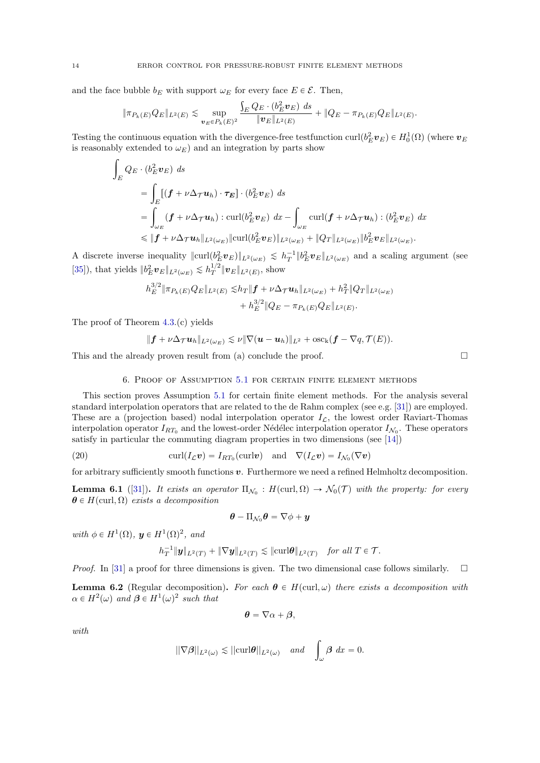and the face bubble  $b_E$  with support  $\omega_E$  for every face  $E \in \mathcal{E}$ . Then,

$$
\|\pi_{P_k(E)}Q_E\|_{L^2(E)} \lesssim \sup_{\bm{v}_E \in P_k(E)^2} \frac{\int_E Q_E \cdot (b_E^2 \bm{v}_E) ds}{\|\bm{v}_E\|_{L^2(E)}} + \|Q_E - \pi_{P_k(E)}Q_E\|_{L^2(E)}.
$$

Testing the continuous equation with the divergence-free testfunction curl $(b_E^2 \nu_E) \in H_0^1(\Omega)$  (where  $\nu_E$ is reasonably extended to  $\omega_E$ ) and an integration by parts show

$$
\int_{E} Q_{E} \cdot (b_{E}^{2} \mathbf{v}_{E}) ds
$$
\n
$$
= \int_{E} [(\mathbf{f} + \nu \Delta_{\mathcal{T}} \mathbf{u}_{h}) \cdot \tau_{E}] \cdot (b_{E}^{2} \mathbf{v}_{E}) ds
$$
\n
$$
= \int_{\omega_{E}} [(\mathbf{f} + \nu \Delta_{\mathcal{T}} \mathbf{u}_{h}) : \operatorname{curl}(b_{E}^{2} \mathbf{v}_{E}) dx - \int_{\omega_{E}} \operatorname{curl}(\mathbf{f} + \nu \Delta_{\mathcal{T}} \mathbf{u}_{h}) : (b_{E}^{2} \mathbf{v}_{E}) dx
$$
\n
$$
\leq \|\mathbf{f} + \nu \Delta_{\mathcal{T}} \mathbf{u}_{h}\|_{L^{2}(\omega_{E})} \|\operatorname{curl}(b_{E}^{2} \mathbf{v}_{E})\|_{L^{2}(\omega_{E})} + \|Q_{T}\|_{L^{2}(\omega_{E})} \|b_{E}^{2} \mathbf{v}_{E}\|_{L^{2}(\omega_{E})}.
$$

A discrete inverse inequality  $\|\text{curl}(b_E^2 \boldsymbol{v}_E)\|_{L^2(\omega_E)} \leq h_T^{-1} \|b_E^2 \boldsymbol{v}_E\|_{L^2(\omega_E)}$  and a scaling argument (see [\[35\]](#page-24-8)), that yields  $||b_E^2 \mathbf{v}_E||_{L^2(\omega_E)} \lesssim h_T^{1/2} \|\mathbf{v}_E\|_{L^2(E)}$ , show

$$
h_E^{3/2} \|\pi_{P_k(E)} Q_E\|_{L^2(E)} \lesssim h_T \|f + \nu \Delta_{\mathcal{T}} \mathbf{u}_h\|_{L^2(\omega_E)} + h_T^2 \|Q_T\|_{L^2(\omega_E)} + h_E^{3/2} \|Q_E - \pi_{P_k(E)} Q_E\|_{L^2(E)}.
$$

The proof of Theorem [4.3.](#page-8-0)(c) yields

$$
\|\bm{f}+\nu\Delta_{\mathcal{T}}\bm{u}_h\|_{L^2(\omega_E)}\lesssim \nu\|\nabla(\bm{u}-\bm{u}_h)\|_{L^2}+\mathrm{osc_k}(\bm{f}-\nabla q,\mathcal{T}(E)).
$$

This and the already proven result from (a) conclude the proof.  $\Box$ 

6. Proof of Assumption [5.1](#page-10-0) for certain finite element methods

<span id="page-13-0"></span>This section proves Assumption [5.1](#page-10-0) for certain finite element methods. For the analysis several standard interpolation operators that are related to the de Rahm complex (see e.g. [\[31\]](#page-24-9)) are employed. These are a (projection based) nodal interpolation operator  $I_{\mathcal{L}}$ , the lowest order Raviart-Thomas interpolation operator  $I_{RT_0}$  and the lowest-order Nédélec interpolation operator  $I_{\mathcal{N}_0}$ . These operators satisfy in particular the commuting diagram properties in two dimensions (see [\[14\]](#page-23-23))

<span id="page-13-1"></span>(20) 
$$
\operatorname{curl}(I_{\mathcal{L}}\boldsymbol{v}) = I_{RT_0}(\operatorname{curl}\boldsymbol{v}) \quad \text{and} \quad \nabla(I_{\mathcal{L}}\boldsymbol{v}) = I_{\mathcal{N}_0}(\nabla \boldsymbol{v})
$$

for arbitrary sufficiently smooth functions  $v$ . Furthermore we need a refined Helmholtz decomposition.

<span id="page-13-2"></span>**Lemma 6.1** ([\[31\]](#page-24-9)). It exists an operator  $\Pi_{\mathcal{N}_0}$  :  $H(\text{curl}, \Omega) \to \mathcal{N}_0(\mathcal{T})$  with the property: for every  $\boldsymbol{\theta} \in H(\text{curl}, \Omega)$  exists a decomposition

$$
\boldsymbol{\theta}-\Pi_{\mathcal{N}_0}\boldsymbol{\theta}=\nabla\phi+\boldsymbol{y}
$$

with  $\phi \in H^1(\Omega)$ ,  $\mathbf{y} \in H^1(\Omega)^2$ , and

$$
h_T^{-1} \|\mathbf{y}\|_{L^2(T)} + \|\nabla \mathbf{y}\|_{L^2(T)} \lesssim \|\mathrm{curl}\boldsymbol{\theta}\|_{L^2(T)} \quad \text{for all } T \in \mathcal{T}.
$$

*Proof.* In [\[31\]](#page-24-9) a proof for three dimensions is given. The two dimensional case follows similarly.  $\square$ 

<span id="page-13-3"></span>**Lemma 6.2** (Regular decomposition). For each  $\theta \in H(\text{curl}, \omega)$  there exists a decomposition with  $\alpha \in H^2(\omega)$  and  $\beta \in H^1(\omega)^2$  such that

$$
\boldsymbol{\theta} = \nabla \alpha + \boldsymbol{\beta},
$$

with.

$$
||\nabla \beta||_{L^2(\omega)} \lesssim ||\mathrm{curl}\theta||_{L^2(\omega)} \quad \text{and} \quad \int_{\omega} \beta \ dx = 0.
$$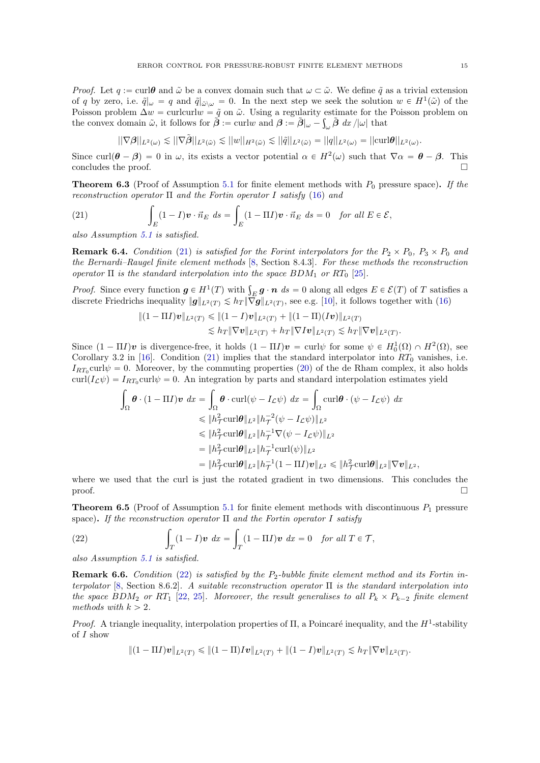*Proof.* Let  $q := \text{curl}\theta$  and  $\tilde{\omega}$  be a convex domain such that  $\omega \subset \tilde{\omega}$ . We define  $\tilde{q}$  as a trivial extension of q by zero, i.e.  $\tilde{q}|_{\omega} = q$  and  $\tilde{q}|_{\tilde{\omega}\setminus\omega} = 0$ . In the next step we seek the solution  $w \in H^1(\tilde{\omega})$  of the Poisson problem  $\Delta w = \text{curl}\text{curl}w = \tilde{g}$  on  $\tilde{\omega}$ . Using a regularity estimate for the Poisson problem on the convex domain  $\tilde{\omega}$ , it follows for  $\tilde{\boldsymbol{\beta}} := \text{curl}w$  and  $\boldsymbol{\beta} := \tilde{\boldsymbol{\beta}}|_{\omega} - \int_{\omega} \tilde{\boldsymbol{\beta}} \, dx / |\omega|$  that

$$
||\nabla \beta||_{L^2(\omega)} \lesssim ||\nabla \tilde{\beta}||_{L^2(\tilde{\omega})} \lesssim ||w||_{H^2(\tilde{\omega})} \lesssim ||\tilde{q}||_{L^2(\tilde{\omega})} = ||q||_{L^2(\omega)} = ||\operatorname{curl}\nolimits \theta||_{L^2(\omega)}.
$$

Since curl $(\theta - \beta) = 0$  in  $\omega$ , its exists a vector potential  $\alpha \in H^2(\omega)$  such that  $\nabla \alpha = \theta - \beta$ . This concludes the proof.  $\Box$ 

**Theorem 6.3** (Proof of Assumption [5.1](#page-10-0) for finite element methods with  $P_0$  pressure space). If the reconstruction operator  $\Pi$  and the Fortin operator I satisfy [\(16\)](#page-6-1) and

<span id="page-14-0"></span>(21) 
$$
\int_{E} (1-I)\boldsymbol{v} \cdot \vec{n}_{E} ds = \int_{E} (1-\Pi I)\boldsymbol{v} \cdot \vec{n}_{E} ds = 0 \text{ for all } E \in \mathcal{E},
$$

also Assumption [5.1](#page-10-0) is satisfied.

**Remark 6.4.** Condition [\(21\)](#page-14-0) is satisfied for the Forint interpolators for the  $P_2 \times P_0$ ,  $P_3 \times P_0$  and the Bernardi–Raugel finite element methods [\[8,](#page-23-2) Section 8.4.3]. For these methods the reconstruction operator  $\Pi$  is the standard interpolation into the space  $BDM_1$  or  $RT_0$  [\[25\]](#page-23-6).

*Proof.* Since every function  $g \in H^1(T)$  with  $\int_E g \cdot n \ ds = 0$  along all edges  $E \in \mathcal{E}(T)$  of T satisfies a discrete Friedrichs inequality  $||g||_{L^2(T)} \lesssim h_T \|\nabla g\|_{L^2(T)}$ , see e.g. [\[10\]](#page-23-24), it follows together with [\(16\)](#page-6-1)

$$
\|(1-\Pi I)\mathbf{v}\|_{L^2(T)} \leq (1-I)\mathbf{v}\|_{L^2(T)} + \|(1-\Pi)(I\mathbf{v})\|_{L^2(T)} \n\leq h_T \|\nabla \mathbf{v}\|_{L^2(T)} + h_T \|\nabla I\mathbf{v}\|_{L^2(T)} \leq h_T \|\nabla \mathbf{v}\|_{L^2(T)}.
$$

Since  $(1 - \Pi I)\mathbf{v}$  is divergence-free, it holds  $(1 - \Pi I)\mathbf{v} = \text{curl}\psi$  for some  $\psi \in H_0^1(\Omega) \cap H^2(\Omega)$ , see Corollary 3.2 in [\[16\]](#page-23-14). Condition [\(21\)](#page-14-0) implies that the standard interpolator into  $RT_0$  vanishes, i.e.  $I_{RT_0}$ curl $\psi = 0$ . Moreover, by the commuting properties [\(20\)](#page-13-1) of the de Rham complex, it also holds curl $(I_{\mathcal{L}}\psi) = I_{RT_0}$ curl $\psi = 0$ . An integration by parts and standard interpolation estimates yield

$$
\int_{\Omega} \boldsymbol{\theta} \cdot (1 - \Pi I) \boldsymbol{v} \, dx = \int_{\Omega} \boldsymbol{\theta} \cdot \operatorname{curl}(\psi - I_{\mathcal{L}} \psi) \, dx = \int_{\Omega} \operatorname{curl} \boldsymbol{\theta} \cdot (\psi - I_{\mathcal{L}} \psi) \, dx
$$
\n
$$
\leq \|h_{\mathcal{T}}^2 \operatorname{curl} \boldsymbol{\theta} \|_{L^2} \|h_{\mathcal{T}}^{-2} (\psi - I_{\mathcal{L}} \psi) \|_{L^2}
$$
\n
$$
\leq \|h_{\mathcal{T}}^2 \operatorname{curl} \boldsymbol{\theta} \|_{L^2} \|h_{\mathcal{T}}^{-1} \nabla (\psi - I_{\mathcal{L}} \psi) \|_{L^2}
$$
\n
$$
= \|h_{\mathcal{T}}^2 \operatorname{curl} \boldsymbol{\theta} \|_{L^2} \|h_{\mathcal{T}}^{-1} \operatorname{curl} (\psi) \|_{L^2}
$$
\n
$$
= \|h_{\mathcal{T}}^2 \operatorname{curl} \boldsymbol{\theta} \|_{L^2} \|h_{\mathcal{T}}^{-1} (1 - \Pi I) \boldsymbol{v} \|_{L^2} \leq \|h_{\mathcal{T}}^2 \operatorname{curl} \boldsymbol{\theta} \|_{L^2} \|\nabla \boldsymbol{v} \|_{L^2}.
$$

where we used that the curl is just the rotated gradient in two dimensions. This concludes the  $\Box$ 

<span id="page-14-2"></span>**Theorem 6.5** (Proof of Assumption [5.1](#page-10-0) for finite element methods with discontinuous  $P_1$  pressure space). If the reconstruction operator  $\Pi$  and the Fortin operator I satisfy

<span id="page-14-1"></span>(22) 
$$
\int_T (1 - I)\mathbf{v} \, dx = \int_T (1 - \Pi I)\mathbf{v} \, dx = 0 \quad \text{for all } T \in \mathcal{T},
$$

also Assumption [5.1](#page-10-0) is satisfied.

**Remark 6.6.** Condition [\(22\)](#page-14-1) is satisfied by the  $P_2$ -bubble finite element method and its Fortin in-terpolator [\[8,](#page-23-2) Section 8.6.2]. A suitable reconstruction operator  $\Pi$  is the standard interpolation into the space BDM<sub>2</sub> or RT<sub>1</sub> [\[22,](#page-23-8) [25\]](#page-23-6). Moreover, the result generalises to all  $P_k \times P_{k-2}$  finite element methods with  $k > 2$ .

Proof. A triangle inequality, interpolation properties of  $\Pi$ , a Poincaré inequality, and the  $H^1$ -stability of I show

$$
\|(1-\Pi I)\mathbf{v}\|_{L^2(T)} \leq (1-\Pi)I\mathbf{v}\|_{L^2(T)} + \|(1-I)\mathbf{v}\|_{L^2(T)} \lesssim h_T \|\nabla \mathbf{v}\|_{L^2(T)}.
$$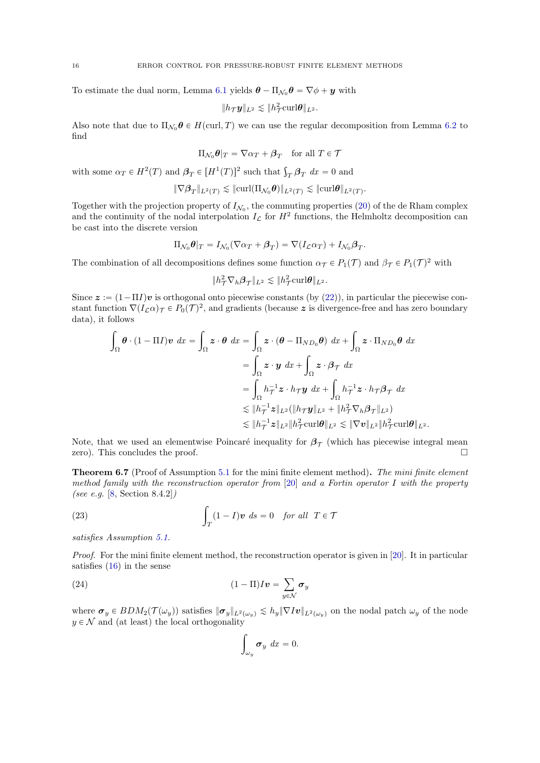To estimate the dual norm, Lemma [6.1](#page-13-2) yields  $\boldsymbol{\theta} - \Pi_{\mathcal{N}_0} \boldsymbol{\theta} = \nabla \phi + \boldsymbol{y}$  with

$$
||h_{\mathcal{T}}\boldsymbol{y}||_{L^2} \lesssim ||h_{\mathcal{T}}^2 \mathrm{curl} \boldsymbol{\theta}||_{L^2}.
$$

Also note that due to  $\Pi_{\mathcal{N}_0} \theta \in H(\text{curl}, T)$  we can use the regular decomposition from Lemma [6.2](#page-13-3) to find

$$
\Pi_{\mathcal{N}_0} \theta|_T = \nabla \alpha_T + \beta_T \quad \text{for all } T \in \mathcal{T}
$$

with some  $\alpha_T \in H^2(T)$  and  $\beta_T \in [H^1(T)]^2$  such that  $\int_T \beta_T dx = 0$  and

$$
\|\nabla \beta_T\|_{L^2(T)} \lesssim \|\mathrm{curl}(\Pi_{\mathcal{N}_0}\boldsymbol{\theta})\|_{L^2(T)} \lesssim \|\mathrm{curl}\boldsymbol{\theta}\|_{L^2(T)}.
$$

Together with the projection property of  $I_{\mathcal{N}_0}$ , the commuting properties [\(20\)](#page-13-1) of the de Rham complex and the continuity of the nodal interpolation  $I_{\mathcal{L}}$  for  $H^2$  functions, the Helmholtz decomposition can be cast into the discrete version

$$
\Pi_{\mathcal{N}_0} \theta|_T = I_{\mathcal{N}_0} (\nabla \alpha_T + \beta_T) = \nabla (I_{\mathcal{L}} \alpha_T) + I_{\mathcal{N}_0} \beta_T.
$$

The combination of all decompositions defines some function  $\alpha_{\mathcal{T}} \in P_1(\mathcal{T})$  and  $\beta_{\mathcal{T}} \in P_1(\mathcal{T})^2$  with

$$
\|h^2_{\mathcal{T}}\nabla_h\boldsymbol{\beta}_{\mathcal{T}}\|_{L^2}\lesssim \|h^2_{\mathcal{T}}\mathrm{curl}\boldsymbol{\theta}\|_{L^2}.
$$

Since  $z := (1 - \Pi I)v$  is orthogonal onto piecewise constants (by [\(22\)](#page-14-1)), in particular the piecewise constant function  $\nabla (I_{\mathcal{L}}\alpha)\tau \in P_0(\mathcal{T})^2$ , and gradients (because z is divergence-free and has zero boundary data), it follows

$$
\int_{\Omega} \theta \cdot (1 - \Pi I) v \, dx = \int_{\Omega} z \cdot \theta \, dx = \int_{\Omega} z \cdot (\theta - \Pi_{ND_0} \theta) \, dx + \int_{\Omega} z \cdot \Pi_{ND_0} \theta \, dx
$$
\n
$$
= \int_{\Omega} z \cdot y \, dx + \int_{\Omega} z \cdot \beta_{\mathcal{T}} \, dx
$$
\n
$$
= \int_{\Omega} h_{\mathcal{T}}^{-1} z \cdot h_{\mathcal{T}} y \, dx + \int_{\Omega} h_{\mathcal{T}}^{-1} z \cdot h_{\mathcal{T}} \beta_{\mathcal{T}} \, dx
$$
\n
$$
\lesssim \|h_{\mathcal{T}}^{-1} z\|_{L^2} (\|h_{\mathcal{T}} y\|_{L^2} + \|h_{\mathcal{T}}^2 \nabla_h \beta_{\mathcal{T}}\|_{L^2})
$$
\n
$$
\lesssim \|h_{\mathcal{T}}^{-1} z\|_{L^2} \|h_{\mathcal{T}}^2 \operatorname{curl} \theta\|_{L^2} \lesssim \|\nabla v\|_{L^2} \|h_{\mathcal{T}}^2 \operatorname{curl} \theta\|_{L^2}.
$$

Note, that we used an elementwise Poincaré inequality for  $\beta_{\mathcal{T}}$  (which has piecewise integral mean zero). This concludes the proof.  $\Box$ 

<span id="page-15-2"></span>Theorem 6.7 (Proof of Assumption [5.1](#page-10-0) for the mini finite element method). The mini finite element method family with the reconstruction operator from  $[20]$  and a Fortin operator I with the property (see e.g. [\[8,](#page-23-2) Section 8.4.2])

<span id="page-15-0"></span>(23) 
$$
\int_T (1 - I)\mathbf{v} \, ds = 0 \quad \text{for all} \quad T \in \mathcal{T}
$$

satisfies Assumption [5.1.](#page-10-0)

Proof. For the mini finite element method, the reconstruction operator is given in [\[20\]](#page-23-9). It in particular satisfies [\(16\)](#page-6-1) in the sense

<span id="page-15-1"></span>(24) 
$$
(1 - \Pi)I\mathbf{v} = \sum_{y \in \mathcal{N}} \boldsymbol{\sigma}_y
$$

where  $\sigma_y \in BDM_2(\mathcal{T}(\omega_y))$  satisfies  $\|\sigma_y\|_{L^2(\omega_y)} \lesssim h_y \|\nabla Iv\|_{L^2(\omega_y)}$  on the nodal patch  $\omega_y$  of the node  $y \in \mathcal{N}$  and (at least) the local orthogonality ż

$$
\int_{\omega_y} \sigma_y \, dx = 0.
$$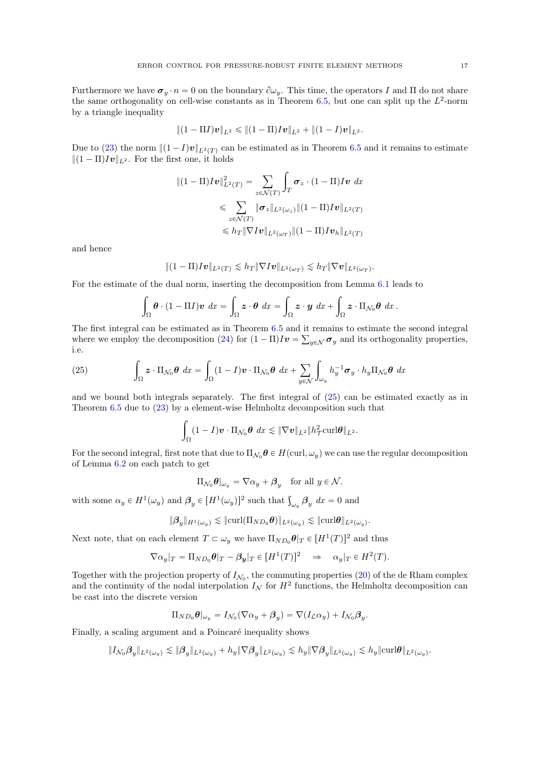Furthermore we have  $\sigma_y \cdot n = 0$  on the boundary  $\partial \omega_y$ . This time, the operators I and II do not share the same orthogonality on cell-wise constants as in Theorem [6.5,](#page-14-2) but one can split up the  $L^2$ -norm by a triangle inequality

$$
\|(1-\Pi I)\bm{v}\|_{L^2}\leqslant \|(1-\Pi)I\bm{v}\|_{L^2}+\|(1-I)\bm{v}\|_{L^2}.
$$

Due to [\(23\)](#page-15-0) the norm  $||(1 - I)v||_{L^2(T)}$  can be estimated as in Theorem [6.5](#page-14-2) and it remains to estimate  $\|(1 - \Pi)Iv\|_{L^2}$ . For the first one, it holds

$$
\begin{aligned} \|(1-\Pi)I\boldsymbol{v}\|_{L^2(T)}^2 &= \sum_{z\in\mathcal{N}(T)} \int_T \boldsymbol{\sigma}_z \cdot (1-\Pi)I\boldsymbol{v} \, dx \\ &\leqslant \sum_{z\in\mathcal{N}(T)} \|\boldsymbol{\sigma}_z\|_{L^2(\omega_z)} \|(1-\Pi)I\boldsymbol{v}\|_{L^2(T)} \\ &\leqslant h_T \|\nabla I\boldsymbol{v}\|_{L^2(\omega_T)} \|(1-\Pi)I\boldsymbol{v}_h\|_{L^2(T)} \end{aligned}
$$

and hence

$$
\|(1-\Pi)I\boldsymbol{v}\|_{L^2(T)}\lesssim h_T\|\nabla I\boldsymbol{v}\|_{L^2(\omega_T)}\lesssim h_T\|\nabla \boldsymbol{v}\|_{L^2(\omega_T)}.
$$

For the estimate of the dual norm, inserting the decomposition from Lemma [6.1](#page-13-2) leads to

$$
\int_{\Omega} \boldsymbol{\theta} \cdot (1 - \Pi I) \boldsymbol{v} \, dx = \int_{\Omega} \boldsymbol{z} \cdot \boldsymbol{\theta} \, dx = \int_{\Omega} \boldsymbol{z} \cdot \boldsymbol{y} \, dx + \int_{\Omega} \boldsymbol{z} \cdot \Pi_{\mathcal{N}_0} \boldsymbol{\theta} \, dx.
$$

The first integral can be estimated as in Theorem [6.5](#page-14-2) and it remains to estimate the second integral ř where we employ the decomposition [\(24\)](#page-15-1) for  $(1 - \Pi)I\mathbf{v} = \sum_{y \in \mathcal{N}} \sigma_y$  and its orthogonality properties, i.e.

<span id="page-16-0"></span>(25) 
$$
\int_{\Omega} z \cdot \Pi_{\mathcal{N}_0} \theta \, dx = \int_{\Omega} (1 - I) v \cdot \Pi_{\mathcal{N}_0} \theta \, dx + \sum_{y \in \mathcal{N}} \int_{\omega_y} h_y^{-1} \sigma_y \cdot h_y \Pi_{\mathcal{N}_0} \theta \, dx
$$

and we bound both integrals separately. The first integral of [\(25\)](#page-16-0) can be estimated exactly as in Theorem [6.5](#page-14-2) due to [\(23\)](#page-15-0) by a element-wise Helmholtz decomposition such that

$$
\int_{\Omega} (1-I)\boldsymbol{v}\cdot \Pi_{\mathcal{N}_0} \boldsymbol{\theta} \, dx \lesssim \|\nabla \boldsymbol{v}\|_{L^2} \|h^2_\mathcal{T}\mathrm{curl} \boldsymbol{\theta}\|_{L^2}.
$$

For the second integral, first note that due to  $\Pi_{\mathcal{N}_0} \theta \in H(\text{curl}, \omega_y)$  we can use the regular decomposition of Lemma [6.2](#page-13-3) on each patch to get

$$
\Pi_{\mathcal{N}_0} \theta|_{\omega_y} = \nabla \alpha_y + \beta_y \quad \text{for all } y \in \mathcal{N}.
$$

with some  $\alpha_y \in H^1(\omega_y)$  and  $\beta_y \in [H^1(\omega_y)]^2$  such that  $\int_{\omega_y} \beta_y dx = 0$  and

$$
\|\boldsymbol{\beta}_y\|_{H^1(\omega_y)} \lesssim \|\text{curl}(\Pi_{ND_0}\boldsymbol{\theta})\|_{L^2(\omega_y)} \lesssim \|\text{curl}\boldsymbol{\theta}\|_{L^2(\omega_y)}.
$$

Next note, that on each element  $T \subset \omega_y$  we have  $\Pi_{ND_0} \theta|_T \in [H^1(T)]^2$  and thus

$$
\nabla \alpha_y|_T = \Pi_{ND_0} \theta|_T - \beta_y|_T \in [H^1(T)]^2 \implies \alpha_y|_T \in H^2(T).
$$

Together with the projection property of  $I_{\mathcal{N}_0}$ , the commuting properties [\(20\)](#page-13-1) of the de Rham complex and the continuity of the nodal interpolation  $I_{\mathcal{N}}$  for  $H^2$  functions, the Helmholtz decomposition can be cast into the discrete version

$$
\Pi_{ND_0}\boldsymbol{\theta}|_{\omega_y}=I_{\mathcal{N}_0}(\nabla\alpha_y+\boldsymbol{\beta}_y)=\nabla(I_{\mathcal{L}}\alpha_y)+I_{\mathcal{N}_0}\boldsymbol{\beta}_y.
$$

Finally, a scaling argument and a Poincaré inequality shows

$$
\|I_{\mathcal{N}_0}\boldsymbol{\beta}_y\|_{L^2(\omega_y)} \lesssim \|\boldsymbol{\beta}_y\|_{L^2(\omega_y)} + h_y\|\nabla \boldsymbol{\beta}_y\|_{L^2(\omega_y)} \lesssim h_y\|\nabla \boldsymbol{\beta}_y\|_{L^2(\omega_y)} \lesssim h_y\|\mathrm{curl}\boldsymbol{\theta}\|_{L^2(\omega_y)}.
$$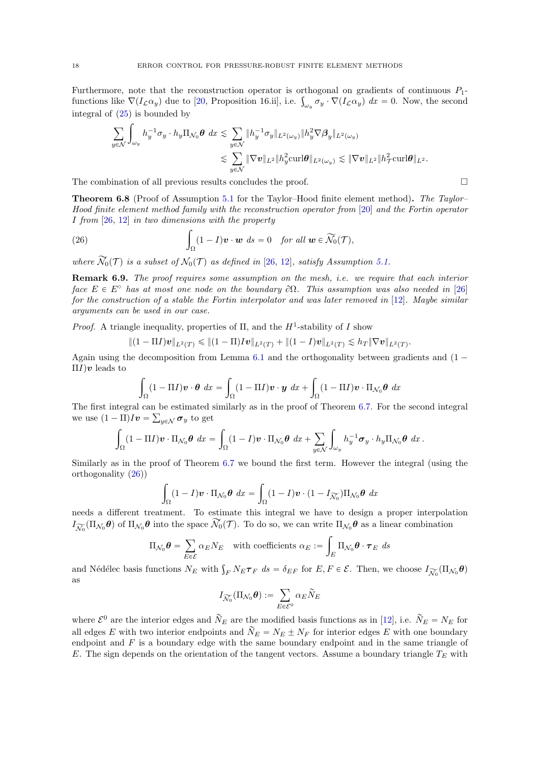Furthermore, note that the reconstruction operator is orthogonal on gradients of continuous  $P_1$ -Furthermore, note that the reconstruction operator is orthogonal on gradients of continuous  $P_1$ -<br>functions like  $\nabla (I_{\mathcal{L}} \alpha_y)$  due to [\[20,](#page-23-9) Proposition 16.ii], i.e.  $\int_{\omega_y} \sigma_y \cdot \nabla (I_{\mathcal{L}} \alpha_y) dx = 0$ . Now, the secon integral of  $(25)$  is bounded by

$$
\sum_{y \in \mathcal{N}} \int_{\omega_y} h_y^{-1} \sigma_y \cdot h_y \Pi_{\mathcal{N}_0} \theta \, dx \lesssim \sum_{y \in \mathcal{N}} \|h_y^{-1} \sigma_y\|_{L^2(\omega_y)} \|h_y^2 \nabla \beta_y\|_{L^2(\omega_y)} \leq \sum_{y \in \mathcal{N}} \|\nabla \mathbf{v}\|_{L^2} \|h_y^2 \operatorname{curl} \theta\|_{L^2(\omega_y)} \lesssim \|\nabla \mathbf{v}\|_{L^2} \|h_\mathcal{T}^2 \operatorname{curl} \theta\|_{L^2}.
$$

The combination of all previous results concludes the proof.

Theorem 6.8 (Proof of Assumption [5.1](#page-10-0) for the Taylor–Hood finite element method). The Taylor– Hood finite element method family with the reconstruction operator from [\[20\]](#page-23-9) and the Fortin operator  $I$  from  $[26, 12]$  $[26, 12]$  $[26, 12]$  in two dimensions with the property

<span id="page-17-0"></span>(26) 
$$
\int_{\Omega} (1-I)\mathbf{v} \cdot \mathbf{w} \, ds = 0 \quad \text{for all } \mathbf{w} \in \widetilde{\mathcal{N}}_0(\mathcal{T}),
$$

where  $\widetilde{\mathcal{N}}_0(\mathcal{T})$  is a subset of  $\mathcal{N}_0(\mathcal{T})$  as defined in [\[26,](#page-24-7) [12\]](#page-23-18), satisfy Assumption [5.1.](#page-10-0)

**Remark 6.9.** The proof requires some assumption on the mesh, i.e. we require that each interior face  $E \in E^{\circ}$  has at most one node on the boundary  $\partial \Omega$ . This assumption was also needed in [\[26\]](#page-24-7) for the construction of a stable the Fortin interpolator and was later removed in [\[12\]](#page-23-18). Maybe similar arguments can be used in our case.

*Proof.* A triangle inequality, properties of  $\Pi$ , and the  $H^1$ -stability of I show

$$
\|(1-\Pi I)\mathbf{v}\|_{L^2(T)} \leq (1-\Pi)I\mathbf{v}\|_{L^2(T)} + \|(1-I)\mathbf{v}\|_{L^2(T)} \lesssim h_T \|\nabla \mathbf{v}\|_{L^2(T)}.
$$

Again using the decomposition from Lemma  $6.1$  and the orthogonality between gradients and  $(1 \Pi I$ ) $\boldsymbol{v}$  leads to

$$
\int_{\Omega} (1 - \Pi I) \mathbf{v} \cdot \boldsymbol{\theta} \, dx = \int_{\Omega} (1 - \Pi I) \mathbf{v} \cdot \mathbf{y} \, dx + \int_{\Omega} (1 - \Pi I) \mathbf{v} \cdot \Pi_{\mathcal{N}_0} \boldsymbol{\theta} \, dx
$$

The first integral can be estimated similarly as in the proof of Theorem [6.7.](#page-15-2) For the second integral ř we use  $(1 - \Pi)Iv = \sum_{y \in \mathcal{N}} \sigma_y$  to get

$$
\int_{\Omega} (1 - \Pi I) \mathbf{v} \cdot \Pi_{\mathcal{N}_0} \boldsymbol{\theta} \, dx = \int_{\Omega} (1 - I) \mathbf{v} \cdot \Pi_{\mathcal{N}_0} \boldsymbol{\theta} \, dx + \sum_{y \in \mathcal{N}} \int_{\omega_y} h_y^{-1} \boldsymbol{\sigma}_y \cdot h_y \Pi_{\mathcal{N}_0} \boldsymbol{\theta} \, dx \, .
$$

Similarly as in the proof of Theorem [6.7](#page-15-2) we bound the first term. However the integral (using the orthogonality [\(26\)](#page-17-0))

$$
\int_{\Omega} (1 - I)\boldsymbol{v} \cdot \Pi_{\mathcal{N}_0} \boldsymbol{\theta} \, dx = \int_{\Omega} (1 - I)\boldsymbol{v} \cdot (1 - I_{\widetilde{\mathcal{N}_0}}) \Pi_{\mathcal{N}_0} \boldsymbol{\theta} \, dx
$$

needs a different treatment. To estimate this integral we have to design a proper interpolation  $I_{\widetilde{\mathcal{N}_0}}(\Pi_{\mathcal{N}_0}\theta)$  of  $\Pi_{\mathcal{N}_0}\theta$  into the space  $\widetilde{\mathcal{N}_0}(\mathcal{T})$ . To do so, we can write  $\Pi_{\mathcal{N}_0}\theta$  as a linear combination

$$
\Pi_{\mathcal{N}_0} \boldsymbol{\theta} = \sum_{E \in \mathcal{E}} \alpha_E N_E \quad \text{with coefficients } \alpha_E := \int_E \Pi_{\mathcal{N}_0} \boldsymbol{\theta} \cdot \boldsymbol{\tau}_E \, ds
$$

and Nédélec basis functions  $N_E$  with  $\int_F N_E \tau_F ds = \delta_{EF}$  for  $E, F \in \mathcal{E}$ . Then, we choose  $I_{\widetilde{\mathcal{N}_0}}(\Pi_{\mathcal{N}_0} \theta)$ as

$$
I_{\widetilde{\mathcal{N}_0}}(\Pi_{\mathcal{N}_0}\boldsymbol{\theta}) := \sum_{E\in \mathcal{E}^0} \alpha_E \widetilde{N}_E
$$

where  $\mathcal{E}^0$  are the interior edges and  $\tilde{N}_E$  are the modified basis functions as in [\[12\]](#page-23-18), i.e.  $\tilde{N}_E = N_E$  for all edges E with two interior endpoints and  $\tilde{N}_E = N_E \pm N_F$  for interior edges E with one boundary endpoint and  $F$  is a boundary edge with the same boundary endpoint and in the same triangle of E. The sign depends on the orientation of the tangent vectors. Assume a boundary triangle  $T_E$  with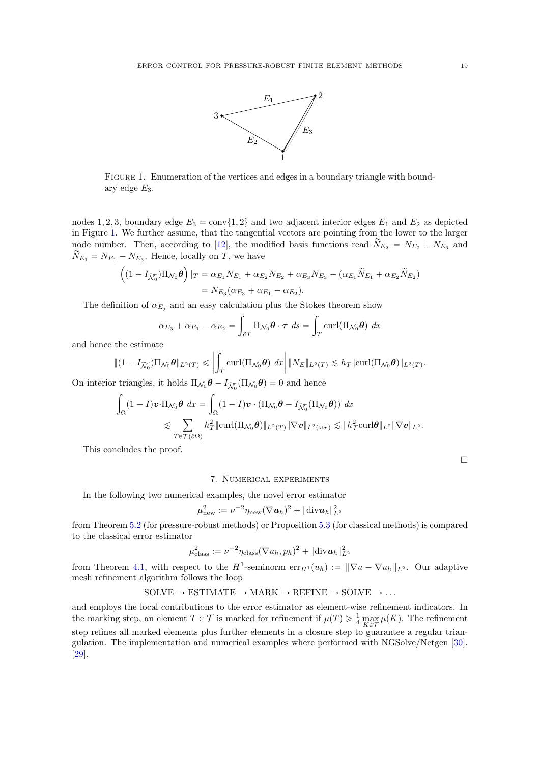

<span id="page-18-1"></span>FIGURE 1. Enumeration of the vertices and edges in a boundary triangle with boundary edge  $E_3$ .

nodes 1, 2, 3, boundary edge  $E_3 = \text{conv}{1, 2}$  and two adjacent interior edges  $E_1$  and  $E_2$  as depicted in Figure [1.](#page-18-1) We further assume, that the tangential vectors are pointing from the lower to the larger node number. Then, according to [\[12\]](#page-23-18), the modified basis functions read  $N_{E_2} = N_{E_2} + N_{E_3}$  and  $\widetilde{N}_{E_1} = N_{E_1} - N_{E_3}$ . Hence, locally on T, we have

$$
\left( (1 - I_{\widetilde{\mathcal{N}_0}}) \Pi_{\mathcal{N}_0} \theta \right) |_{T} = \alpha_{E_1} N_{E_1} + \alpha_{E_2} N_{E_2} + \alpha_{E_3} N_{E_3} - (\alpha_{E_1} \widetilde{N}_{E_1} + \alpha_{E_2} \widetilde{N}_{E_2})
$$
  
=  $N_{E_3} (\alpha_{E_3} + \alpha_{E_1} - \alpha_{E_2}).$ 

The definition of  $\alpha_{E_j}$  and an easy calculation plus the Stokes theorem show

$$
\alpha_{E_3} + \alpha_{E_1} - \alpha_{E_2} = \int_{\partial T} \Pi_{\mathcal{N}_0} \boldsymbol{\theta} \cdot \boldsymbol{\tau} \, ds = \int_T \text{curl}(\Pi_{\mathcal{N}_0} \boldsymbol{\theta}) \, dx
$$

and hence the estimate

$$
\|(1 - I_{\widetilde{\mathcal{N}_0}})\Pi_{\mathcal{N}_0}\theta\|_{L^2(T)} \le \left|\int_T \mathrm{curl}(\Pi_{\mathcal{N}_0}\theta) \, dx\right| \|N_E\|_{L^2(T)} \lesssim h_T \|\mathrm{curl}(\Pi_{\mathcal{N}_0}\theta)\|_{L^2(T)}.
$$

On interior triangles, it holds  $\Pi_{\mathcal{N}_0} \theta - I_{\widetilde{\mathcal{N}_0}} (\Pi_{\mathcal{N}_0} \theta) = 0$  and hence

$$
\int_{\Omega} (1-I)\boldsymbol{v} \cdot \Pi_{\mathcal{N}_0} \boldsymbol{\theta} \, dx = \int_{\Omega} (1-I)\boldsymbol{v} \cdot (\Pi_{\mathcal{N}_0} \boldsymbol{\theta} - I_{\widetilde{\mathcal{N}_0}}(\Pi_{\mathcal{N}_0} \boldsymbol{\theta})) \, dx
$$
\n
$$
\lesssim \sum_{T \in \mathcal{T}(\partial \Omega)} h_T^2 \|\mathrm{curl}(\Pi_{\mathcal{N}_0} \boldsymbol{\theta})\|_{L^2(T)} \|\nabla \boldsymbol{v}\|_{L^2(\omega_T)} \lesssim \|h_T^2 \mathrm{curl} \boldsymbol{\theta}\|_{L^2} \|\nabla \boldsymbol{v}\|_{L^2}.
$$

This concludes the proof.

 $\Box$ 

#### 7. Numerical experiments

<span id="page-18-0"></span>In the following two numerical examples, the novel error estimator

$$
\mu_{\text{new}}^2 := \nu^{-2} \eta_{\text{new}} (\nabla \boldsymbol{u}_h)^2 + \|\text{div} \boldsymbol{u}_h\|_{L^2}^2
$$

from Theorem [5.2](#page-10-1) (for pressure-robust methods) or Proposition [5.3](#page-12-1) (for classical methods) is compared to the classical error estimator

$$
\mu_{\text{class}}^2 := \nu^{-2} \eta_{\text{class}} (\nabla u_h, p_h)^2 + \|\text{div} \mathbf{u}_h\|_{L^2}^2
$$

from Theorem [4.1,](#page-6-5) with respect to the  $H^1$ -seminorm  $\mathrm{err}_{H^1}(u_h) := ||\nabla u - \nabla u_h||_{L^2}$ . Our adaptive mesh refinement algorithm follows the loop

SOLVE 
$$
\rightarrow
$$
 ESTIMATE  $\rightarrow$  MARK  $\rightarrow$  REFINE  $\rightarrow$  SOLVE  $\rightarrow$  ...

and employs the local contributions to the error estimator as element-wise refinement indicators. In the marking step, an element  $T \in \mathcal{T}$  is marked for refinement if  $\mu(T) \geq \frac{1}{4} \max_{K \in \mathcal{T}} \mu(K)$ . The refinement step refines all marked elements plus further elements in a closure step to guarantee a regular triangulation. The implementation and numerical examples where performed with NGSolve/Netgen [\[30\]](#page-24-10), [\[29\]](#page-24-11).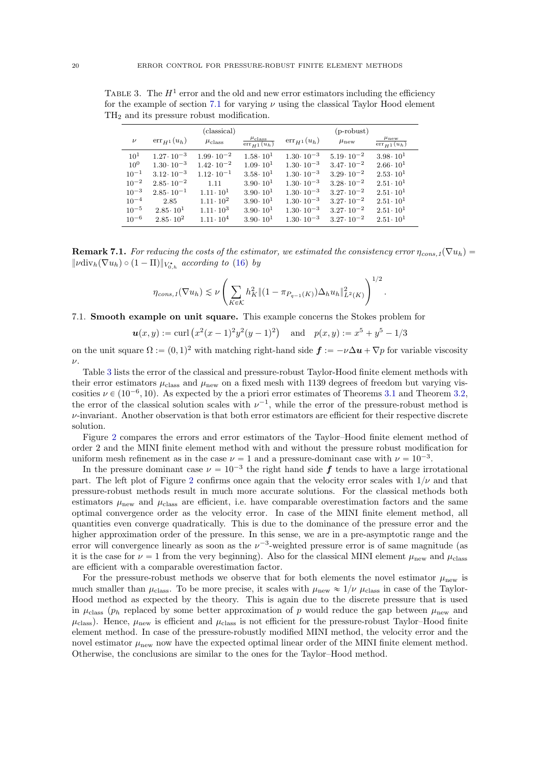| (classical)     |                      |                      | $(p$ -robust)                                     |                      |                      |                                       |
|-----------------|----------------------|----------------------|---------------------------------------------------|----------------------|----------------------|---------------------------------------|
| $\nu$           | $err_{H_1}(u_h)$     | $\mu_{\rm class}$    | $\frac{\mu_{\text{class}}}{\text{err}_{H}1(u_h)}$ | $err_{H_1}(u_h)$     | $\mu_{\text{new}}$   | $\mu_{\text{new}}$<br>$err_{H1}(u_h)$ |
| 10 <sup>1</sup> | $1.27 \cdot 10^{-3}$ | $1.99 \cdot 10^{-2}$ | $1.58 \cdot 10^{1}$                               | $1.30 \cdot 10^{-3}$ | $5.19 \cdot 10^{-2}$ | $3.98 \cdot 10^{1}$                   |
| $10^{0}$        | $1.30 \cdot 10^{-3}$ | $1.42 \cdot 10^{-2}$ | $1.09 \cdot 10^{1}$                               | $1.30 \cdot 10^{-3}$ | $3.47 \cdot 10^{-2}$ | $2.66 \cdot 10^{1}$                   |
| $10^{-1}$       | $3.12 \cdot 10^{-3}$ | $1.12 \cdot 10^{-1}$ | $3.58 \cdot 10^{1}$                               | $1.30 \cdot 10^{-3}$ | $3.29 \cdot 10^{-2}$ | $2.53 \cdot 10^{1}$                   |
| $10^{-2}$       | $2.85 \cdot 10^{-2}$ | 1.11                 | $3.90 \cdot 10^{1}$                               | $1.30 \cdot 10^{-3}$ | $3.28 \cdot 10^{-2}$ | $2.51 \cdot 10^{1}$                   |
| $10^{-3}$       | $2.85 \cdot 10^{-1}$ | $1.11 \cdot 10^{1}$  | $3.90 \cdot 10^{1}$                               | $1.30 \cdot 10^{-3}$ | $3.27 \cdot 10^{-2}$ | $2.51 \cdot 10^{1}$                   |
| $10^{-4}$       | 2.85                 | $1.11 \cdot 10^{2}$  | $3.90 \cdot 10^{1}$                               | $1.30 \cdot 10^{-3}$ | $3.27 \cdot 10^{-2}$ | $2.51 \cdot 10^{1}$                   |
| $10^{-5}$       | $2.85 \cdot 10^{1}$  | $1.11 \cdot 10^3$    | $3.90 \cdot 10^{1}$                               | $1.30 \cdot 10^{-3}$ | $3.27 \cdot 10^{-2}$ | $2.51 \cdot 10^{1}$                   |
| $10^{-6}$       | $2.85 \cdot 10^2$    | $1.11 \cdot 10^{4}$  | $3.90 \cdot 10^{1}$                               | $1.30 \cdot 10^{-3}$ | $3.27 \cdot 10^{-2}$ | $2.51 \cdot 10^{1}$                   |

<span id="page-19-1"></span>TABLE 3. The  $H^1$  error and the old and new error estimators including the efficiency for the example of section [7.1](#page-19-0) for varying  $\nu$  using the classical Taylor Hood element TH<sup>2</sup> and its pressure robust modification.

**Remark 7.1.** For reducing the costs of the estimator, we estimated the consistency error  $\eta_{cons,1}(\nabla u_h)$  =  $\|\nu \text{div}_h(\nabla u_h) \circ (1 - \Pi)\|_{V_{0,h}^{\star}}$  according to [\(16\)](#page-6-1) by

$$
\eta_{cons,1}(\nabla u_h) \lesssim \nu \left( \sum_{K \in \mathcal{K}} h_K^2 \| (1 - \pi_{P_{q-1}(K)}) \Delta_h u_h \|_{L^2(K)}^2 \right)^{1/2}
$$

.

# <span id="page-19-0"></span>7.1. Smooth example on unit square. This example concerns the Stokes problem for

$$
u(x,y) := \text{curl} \left( x^2 (x-1)^2 y^2 (y-1)^2 \right) \quad \text{and} \quad p(x,y) := x^5 + y^5 - 1/3
$$

on the unit square  $\Omega := (0, 1)^2$  with matching right-hand side  $\mathbf{f} := -\nu \Delta \mathbf{u} + \nabla p$  for variable viscosity  $\nu$ .

Table [3](#page-19-1) lists the error of the classical and pressure-robust Taylor-Hood finite element methods with their error estimators  $\mu_{\rm class}$  and  $\mu_{\rm new}$  on a fixed mesh with 1139 degrees of freedom but varying viscosities  $\nu \in (10^{-6}, 10)$ . As expected by the a priori error estimates of Theorems [3.1](#page-4-2) and Theorem [3.2,](#page-5-4) the error of the classical solution scales with  $\nu^{-1}$ , while the error of the pressure-robust method is  $\nu$ -invariant. Another observation is that both error estimators are efficient for their respective discrete solution.

Figure [2](#page-20-0) compares the errors and error estimators of the Taylor–Hood finite element method of order 2 and the MINI finite element method with and without the pressure robust modification for uniform mesh refinement as in the case  $\nu = 1$  and a pressure-dominant case with  $\nu = 10^{-3}$ .

In the pressure dominant case  $\nu = 10^{-3}$  the right hand side  $f$  tends to have a large irrotational part. The left plot of Figure [2](#page-20-0) confirms once again that the velocity error scales with  $1/\nu$  and that pressure-robust methods result in much more accurate solutions. For the classical methods both estimators  $\mu_{\text{new}}$  and  $\mu_{\text{class}}$  are efficient, i.e. have comparable overestimation factors and the same optimal convergence order as the velocity error. In case of the MINI finite element method, all quantities even converge quadratically. This is due to the dominance of the pressure error and the higher approximation order of the pressure. In this sense, we are in a pre-asymptotic range and the error will convergence linearly as soon as the  $\nu^{-3}$ -weighted pressure error is of same magnitude (as it is the case for  $\nu = 1$  from the very beginning). Also for the classical MINI element  $\mu_{\text{new}}$  and  $\mu_{\text{class}}$ are efficient with a comparable overestimation factor.

For the pressure-robust methods we observe that for both elements the novel estimator  $\mu_{\text{new}}$  is much smaller than  $\mu_{\rm class}$ . To be more precise, it scales with  $\mu_{\rm new} \approx 1/\nu \mu_{\rm class}$  in case of the Taylor-Hood method as expected by the theory. This is again due to the discrete pressure that is used in  $\mu_{\text{class}}$  ( $p_h$  replaced by some better approximation of p would reduce the gap between  $\mu_{\text{new}}$  and  $\mu_{\text{class}}$ ). Hence,  $\mu_{\text{new}}$  is efficient and  $\mu_{\text{class}}$  is not efficient for the pressure-robust Taylor–Hood finite element method. In case of the pressure-robustly modified MINI method, the velocity error and the novel estimator  $\mu_{\text{new}}$  now have the expected optimal linear order of the MINI finite element method. Otherwise, the conclusions are similar to the ones for the Taylor–Hood method.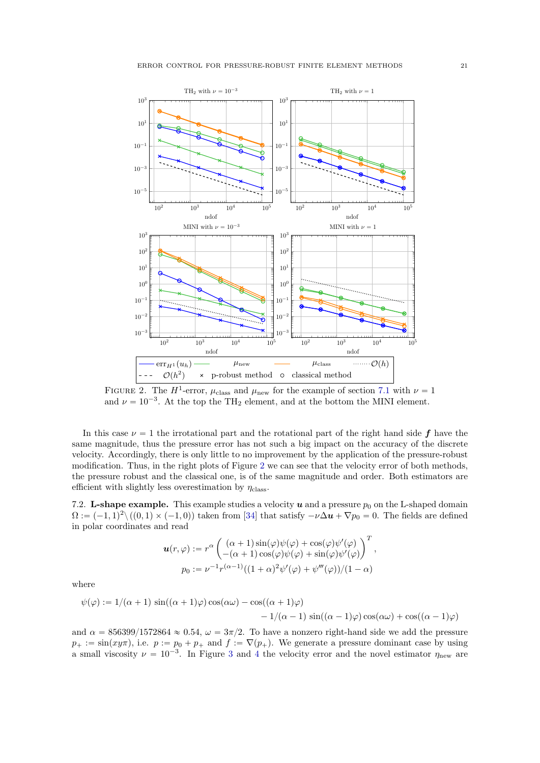<span id="page-20-0"></span>

FIGURE 2. The  $H^1$ -error,  $\mu_{\text{class}}$  and  $\mu_{\text{new}}$  for the example of section [7.1](#page-19-0) with  $\nu = 1$ and  $\nu = 10^{-3}$ . At the top the TH<sub>2</sub> element, and at the bottom the MINI element.

In this case  $\nu = 1$  the irrotational part and the rotational part of the right hand side f have the same magnitude, thus the pressure error has not such a big impact on the accuracy of the discrete velocity. Accordingly, there is only little to no improvement by the application of the pressure-robust modification. Thus, in the right plots of Figure [2](#page-20-0) we can see that the velocity error of both methods, the pressure robust and the classical one, is of the same magnitude and order. Both estimators are efficient with slightly less overestimation by  $\eta_{\text{class}}$ .

<span id="page-20-1"></span>7.2. L-shape example. This example studies a velocity u and a pressure  $p_0$  on the L-shaped domain  $\Omega := (-1, 1)^2 \setminus ((0, 1) \times (-1, 0))$  taken from [\[34\]](#page-24-3) that satisfy  $-\nu \Delta u + \nabla p_0 = 0$ . The fields are defined in polar coordinates and read

$$
\mathbf{u}(r,\varphi) := r^{\alpha} \begin{pmatrix} (\alpha+1)\sin(\varphi)\psi(\varphi) + \cos(\varphi)\psi'(\varphi) \\ -(\alpha+1)\cos(\varphi)\psi(\varphi) + \sin(\varphi)\psi'(\varphi) \end{pmatrix}^T,
$$
  

$$
p_0 := \nu^{-1}r^{(\alpha-1)}((1+\alpha)^2\psi'(\varphi) + \psi''(\varphi))/(1-\alpha)
$$

where

$$
\psi(\varphi) := 1/(\alpha + 1) \sin((\alpha + 1)\varphi)\cos(\alpha\omega) - \cos((\alpha + 1)\varphi) \n-1/(\alpha - 1) \sin((\alpha - 1)\varphi)\cos(\alpha\omega) + \cos((\alpha - 1)\varphi)
$$

and  $\alpha = 856399/1572864 \approx 0.54$ ,  $\omega = 3\pi/2$ . To have a nonzero right-hand side we add the pressure  $p_+ := \sin(xy\pi)$ , i.e.  $p := p_0 + p_+$  and  $f := \nabla(p_+)$ . We generate a pressure dominant case by using a small viscosity  $\nu = 10^{-3}$  $\nu = 10^{-3}$  $\nu = 10^{-3}$ . In Figure 3 and [4](#page-22-0) the velocity error and the novel estimator  $\eta_{\text{new}}$  are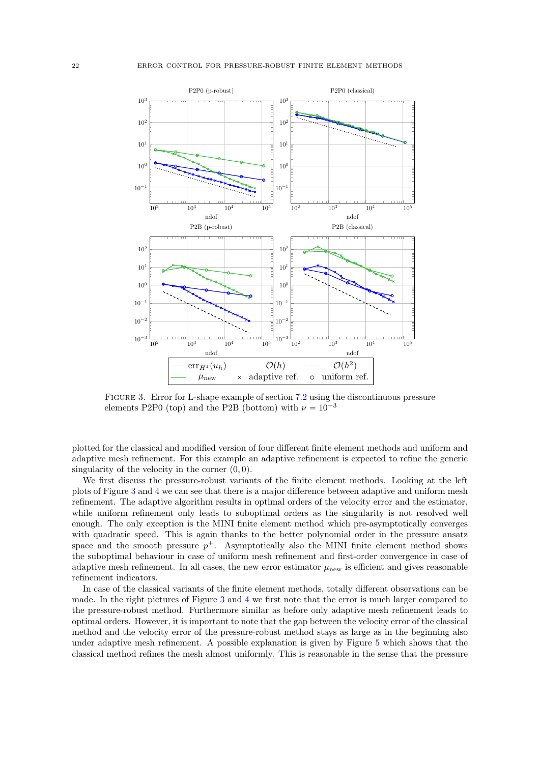<span id="page-21-0"></span>

Figure 3. Error for L-shape example of section [7.2](#page-20-1) using the discontinuous pressure elements P2P0 (top) and the P2B (bottom) with  $\nu = 10^{-3}$ 

plotted for the classical and modified version of four different finite element methods and uniform and adaptive mesh refinement. For this example an adaptive refinement is expected to refine the generic singularity of the velocity in the corner  $(0, 0)$ .

We first discuss the pressure-robust variants of the finite element methods. Looking at the left plots of Figure [3](#page-21-0) and [4](#page-22-0) we can see that there is a major difference between adaptive and uniform mesh refinement. The adaptive algorithm results in optimal orders of the velocity error and the estimator, while uniform refinement only leads to suboptimal orders as the singularity is not resolved well enough. The only exception is the MINI finite element method which pre-asymptotically converges with quadratic speed. This is again thanks to the better polynomial order in the pressure ansatz space and the smooth pressure  $p^+$ . Asymptotically also the MINI finite element method shows the suboptimal behaviour in case of uniform mesh refinement and first-order convergence in case of adaptive mesh refinement. In all cases, the new error estimator  $\mu_{\text{new}}$  is efficient and gives reasonable refinement indicators.

In case of the classical variants of the finite element methods, totally different observations can be made. In the right pictures of Figure [3](#page-21-0) and [4](#page-22-0) we first note that the error is much larger compared to the pressure-robust method. Furthermore similar as before only adaptive mesh refinement leads to optimal orders. However, it is important to note that the gap between the velocity error of the classical method and the velocity error of the pressure-robust method stays as large as in the beginning also under adaptive mesh refinement. A possible explanation is given by Figure [5](#page-22-1) which shows that the classical method refines the mesh almost uniformly. This is reasonable in the sense that the pressure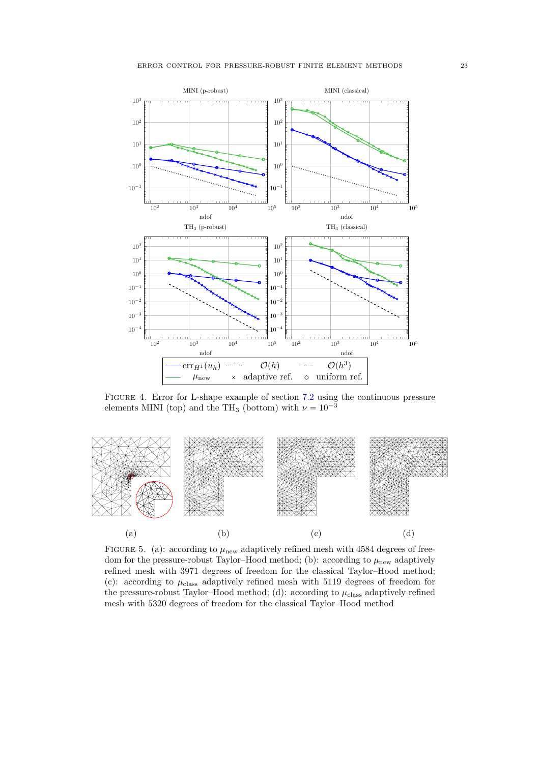<span id="page-22-0"></span>

Figure 4. Error for L-shape example of section [7.2](#page-20-1) using the continuous pressure elements MINI (top) and the TH<sub>3</sub> (bottom) with  $\nu = 10^{-3}$ 

<span id="page-22-1"></span>

FIGURE 5. (a): according to  $\mu_{\text{new}}$  adaptively refined mesh with 4584 degrees of freedom for the pressure-robust Taylor–Hood method; (b): according to  $\mu_{\text{new}}$  adaptively refined mesh with 3971 degrees of freedom for the classical Taylor–Hood method; (c): according to  $\mu_{\text{class}}$  adaptively refined mesh with 5119 degrees of freedom for the pressure-robust Taylor–Hood method; (d): according to  $\mu_{\text{class}}$  adaptively refined mesh with 5320 degrees of freedom for the classical Taylor–Hood method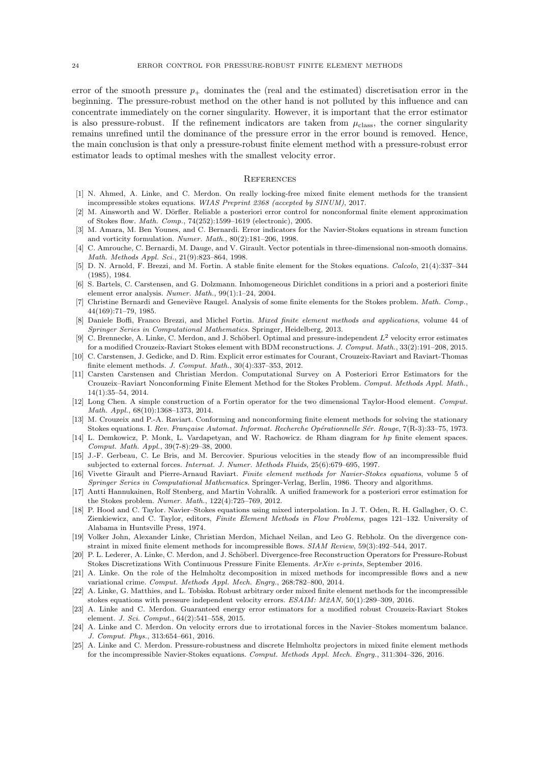error of the smooth pressure  $p_+$  dominates the (real and the estimated) discretisation error in the beginning. The pressure-robust method on the other hand is not polluted by this influence and can concentrate immediately on the corner singularity. However, it is important that the error estimator is also pressure-robust. If the refinement indicators are taken from  $\mu_{\text{class}}$ , the corner singularity remains unrefined until the dominance of the pressure error in the error bound is removed. Hence, the main conclusion is that only a pressure-robust finite element method with a pressure-robust error estimator leads to optimal meshes with the smallest velocity error.

#### **REFERENCES**

- <span id="page-23-17"></span>[1] N. Ahmed, A. Linke, and C. Merdon. On really locking-free mixed finite element methods for the transient incompressible stokes equations. WIAS Preprint 2368 (accepted by SINUM), 2017.
- <span id="page-23-19"></span>[2] M. Ainsworth and W. Dörfler. Reliable a posteriori error control for nonconformal finite element approximation of Stokes flow. Math. Comp., 74(252):1599–1619 (electronic), 2005.
- <span id="page-23-13"></span>[3] M. Amara, M. Ben Younes, and C. Bernardi. Error indicators for the Navier-Stokes equations in stream function and vorticity formulation. Numer. Math., 80(2):181–206, 1998.
- <span id="page-23-22"></span>[4] C. Amrouche, C. Bernardi, M. Dauge, and V. Girault. Vector potentials in three-dimensional non-smooth domains. Math. Methods Appl. Sci., 21(9):823–864, 1998.
- <span id="page-23-1"></span>[5] D. N. Arnold, F. Brezzi, and M. Fortin. A stable finite element for the Stokes equations. Calcolo, 21(4):337–344 (1985), 1984.
- <span id="page-23-21"></span>[6] S. Bartels, C. Carstensen, and G. Dolzmann. Inhomogeneous Dirichlet conditions in a priori and a posteriori finite element error analysis. Numer. Math., 99(1):1–24, 2004.
- <span id="page-23-16"></span>[7] Christine Bernardi and Geneviève Raugel. Analysis of some finite elements for the Stokes problem. Math. Comp., 44(169):71–79, 1985.
- <span id="page-23-2"></span>[8] Daniele Boffi, Franco Brezzi, and Michel Fortin. Mixed finite element methods and applications, volume 44 of Springer Series in Computational Mathematics. Springer, Heidelberg, 2013.
- <span id="page-23-7"></span>[9] C. Brennecke, A. Linke, C. Merdon, and J. Schöberl. Optimal and pressure-independent  $L^2$  velocity error estimates for a modified Crouzeix-Raviart Stokes element with BDM reconstructions. J. Comput. Math., 33(2):191–208, 2015.
- <span id="page-23-24"></span>[10] C. Carstensen, J. Gedicke, and D. Rim. Explicit error estimates for Courant, Crouzeix-Raviart and Raviart-Thomas finite element methods. J. Comput. Math., 30(4):337–353, 2012.
- <span id="page-23-20"></span>[11] Carsten Carstensen and Christian Merdon. Computational Survey on A Posteriori Error Estimators for the Crouzeix–Raviart Nonconforming Finite Element Method for the Stokes Problem. Comput. Methods Appl. Math., 14(1):35–54, 2014.
- <span id="page-23-18"></span>[12] Long Chen. A simple construction of a Fortin operator for the two dimensional Taylor-Hood element. Comput. Math. Appl., 68(10):1368–1373, 2014.
- <span id="page-23-15"></span>[13] M. Crouzeix and P.-A. Raviart. Conforming and nonconforming finite element methods for solving the stationary Stokes equations. I. Rev. Française Automat. Informat. Recherche Opérationnelle Sér. Rouge, 7(R-3):33–75, 1973.
- <span id="page-23-23"></span>[14] L. Demkowicz, P. Monk, L. Vardapetyan, and W. Rachowicz. de Rham diagram for hp finite element spaces. Comput. Math. Appl., 39(7-8):29–38, 2000.
- <span id="page-23-11"></span>[15] J.-F. Gerbeau, C. Le Bris, and M. Bercovier. Spurious velocities in the steady flow of an incompressible fluid subjected to external forces. Internat. J. Numer. Methods Fluids, 25(6):679–695, 1997.
- <span id="page-23-14"></span>[16] Vivette Girault and Pierre-Arnaud Raviart. Finite element methods for Navier-Stokes equations, volume 5 of Springer Series in Computational Mathematics. Springer-Verlag, Berlin, 1986. Theory and algorithms.
- <span id="page-23-10"></span>[17] Antti Hannukainen, Rolf Stenberg, and Martin Vohralík. A unified framework for a posteriori error estimation for the Stokes problem. Numer. Math., 122(4):725–769, 2012.
- <span id="page-23-0"></span>[18] P. Hood and C. Taylor. Navier–Stokes equations using mixed interpolation. In J. T. Oden, R. H. Gallagher, O. C. Zienkiewicz, and C. Taylor, editors, Finite Element Methods in Flow Problems, pages 121–132. University of Alabama in Huntsville Press, 1974.
- <span id="page-23-5"></span>[19] Volker John, Alexander Linke, Christian Merdon, Michael Neilan, and Leo G. Rebholz. On the divergence constraint in mixed finite element methods for incompressible flows. SIAM Review, 59(3):492–544, 2017.
- <span id="page-23-9"></span>[20] P. L. Lederer, A. Linke, C. Merdon, and J. Schöberl. Divergence-free Reconstruction Operators for Pressure-Robust Stokes Discretizations With Continuous Pressure Finite Elements. ArXiv e-prints, September 2016.
- <span id="page-23-3"></span>[21] A. Linke. On the role of the Helmholtz decomposition in mixed methods for incompressible flows and a new variational crime. Comput. Methods Appl. Mech. Engrg., 268:782–800, 2014.
- <span id="page-23-8"></span>[22] A. Linke, G. Matthies, and L. Tobiska. Robust arbitrary order mixed finite element methods for the incompressible stokes equations with pressure independent velocity errors. ESAIM: M2AN, 50(1):289–309, 2016.
- <span id="page-23-12"></span>[23] A. Linke and C. Merdon. Guaranteed energy error estimators for a modified robust Crouzeix-Raviart Stokes element. J. Sci. Comput., 64(2):541–558, 2015.
- <span id="page-23-4"></span>[24] A. Linke and C. Merdon. On velocity errors due to irrotational forces in the Navier–Stokes momentum balance. J. Comput. Phys., 313:654–661, 2016.
- <span id="page-23-6"></span>[25] A. Linke and C. Merdon. Pressure-robustness and discrete Helmholtz projectors in mixed finite element methods for the incompressible Navier-Stokes equations. Comput. Methods Appl. Mech. Engrg., 311:304–326, 2016.